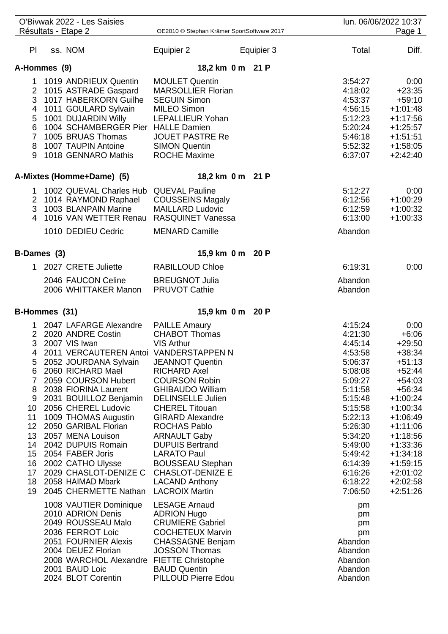|                                                                                                            | O'Bivwak 2022 - Les Saisies<br>Résultats - Etape 2                                                                                                                                                                                                                                                                                                                                                                                                                       | OE2010 © Stephan Krämer SportSoftware 2017                                                                                                                                                                                                                                                                                                                                                                                                                  |            |                                                                                                                                                                                                               | lun. 06/06/2022 10:37<br>Page 1                                                                                                                                                                                                                   |
|------------------------------------------------------------------------------------------------------------|--------------------------------------------------------------------------------------------------------------------------------------------------------------------------------------------------------------------------------------------------------------------------------------------------------------------------------------------------------------------------------------------------------------------------------------------------------------------------|-------------------------------------------------------------------------------------------------------------------------------------------------------------------------------------------------------------------------------------------------------------------------------------------------------------------------------------------------------------------------------------------------------------------------------------------------------------|------------|---------------------------------------------------------------------------------------------------------------------------------------------------------------------------------------------------------------|---------------------------------------------------------------------------------------------------------------------------------------------------------------------------------------------------------------------------------------------------|
|                                                                                                            |                                                                                                                                                                                                                                                                                                                                                                                                                                                                          |                                                                                                                                                                                                                                                                                                                                                                                                                                                             |            |                                                                                                                                                                                                               |                                                                                                                                                                                                                                                   |
| PI                                                                                                         | ss. NOM                                                                                                                                                                                                                                                                                                                                                                                                                                                                  | Equipier 2                                                                                                                                                                                                                                                                                                                                                                                                                                                  | Equipier 3 | Total                                                                                                                                                                                                         | Diff.                                                                                                                                                                                                                                             |
|                                                                                                            | A-Hommes (9)                                                                                                                                                                                                                                                                                                                                                                                                                                                             | 18,2 km 0 m 21 P                                                                                                                                                                                                                                                                                                                                                                                                                                            |            |                                                                                                                                                                                                               |                                                                                                                                                                                                                                                   |
| 1<br>5<br>6<br>8<br>9                                                                                      | 1019 ANDRIEUX Quentin<br>2 1015 ASTRADE Gaspard<br>3 1017 HABERKORN Guilhe<br>4 1011 GOULARD Sylvain<br>1001 DUJARDIN Willy<br>1004 SCHAMBERGER Pier HALLE Damien<br>7 1005 BRUAS Thomas<br>1007 TAUPIN Antoine<br>1018 GENNARO Mathis                                                                                                                                                                                                                                   | <b>MOULET Quentin</b><br><b>MARSOLLIER Florian</b><br><b>SEGUIN Simon</b><br><b>MILEO Simon</b><br><b>LEPALLIEUR Yohan</b><br><b>JOUET PASTRE Re</b><br><b>SIMON Quentin</b><br><b>ROCHE Maxime</b>                                                                                                                                                                                                                                                         |            | 3:54:27<br>4:18:02<br>4:53:37<br>4:56:15<br>5:12:23<br>5:20:24<br>5:46:18<br>5:52:32<br>6:37:07                                                                                                               | 0:00<br>$+23:35$<br>$+59:10$<br>$+1:01:48$<br>$+1:17:56$<br>$+1:25:57$<br>$+1:51:51$<br>$+1:58:05$<br>$+2:42:40$                                                                                                                                  |
|                                                                                                            | A-Mixtes (Homme+Dame) (5)                                                                                                                                                                                                                                                                                                                                                                                                                                                | 18,2 km 0 m 21 P                                                                                                                                                                                                                                                                                                                                                                                                                                            |            |                                                                                                                                                                                                               |                                                                                                                                                                                                                                                   |
|                                                                                                            | 1 1002 QUEVAL Charles Hub<br>2 1014 RAYMOND Raphael<br>3 1003 BLANPAIN Marine<br>4 1016 VAN WETTER Renau RASQUINET Vanessa<br>1010 DEDIEU Cedric                                                                                                                                                                                                                                                                                                                         | <b>QUEVAL Pauline</b><br><b>COUSSEINS Magaly</b><br><b>MAILLARD Ludovic</b><br><b>MENARD Camille</b>                                                                                                                                                                                                                                                                                                                                                        |            | 5:12:27<br>6:12:56<br>6:12:59<br>6:13:00<br>Abandon                                                                                                                                                           | 0:00<br>$+1:00:29$<br>$+1:00:32$<br>$+1:00:33$                                                                                                                                                                                                    |
| B-Dames (3)                                                                                                |                                                                                                                                                                                                                                                                                                                                                                                                                                                                          | 15,9 km 0 m 20 P                                                                                                                                                                                                                                                                                                                                                                                                                                            |            |                                                                                                                                                                                                               |                                                                                                                                                                                                                                                   |
|                                                                                                            | 1 2027 CRETE Juliette                                                                                                                                                                                                                                                                                                                                                                                                                                                    | <b>RABILLOUD Chloe</b>                                                                                                                                                                                                                                                                                                                                                                                                                                      |            | 6:19:31                                                                                                                                                                                                       | 0:00                                                                                                                                                                                                                                              |
|                                                                                                            | 2046 FAUCON Celine<br>2006 WHITTAKER Manon                                                                                                                                                                                                                                                                                                                                                                                                                               | <b>BREUGNOT Julia</b><br><b>PRUVOT Cathie</b>                                                                                                                                                                                                                                                                                                                                                                                                               |            | Abandon<br>Abandon                                                                                                                                                                                            |                                                                                                                                                                                                                                                   |
|                                                                                                            | B-Hommes (31)                                                                                                                                                                                                                                                                                                                                                                                                                                                            | 15,9 km 0 m 20 P                                                                                                                                                                                                                                                                                                                                                                                                                                            |            |                                                                                                                                                                                                               |                                                                                                                                                                                                                                                   |
| 4<br>5<br>6<br>$\overline{7}$<br>8<br>9<br>10<br>11<br>12 <sub>2</sub><br>13<br>15<br>16<br>17<br>18<br>19 | 1 2047 LAFARGE Alexandre<br>2 2020 ANDRE Costin<br>3 2007 VIS Iwan<br>2011 VERCAUTEREN Antoi VANDERSTAPPEN N<br>2052 JOURDANA Sylvain<br>2060 RICHARD Mael<br>2059 COURSON Hubert<br>2038 FIORINA Laurent<br>2031 BOUILLOZ Benjamin<br>2056 CHEREL Ludovic<br>1009 THOMAS Augustin<br>2050 GARIBAL Florian<br>2057 MENA Louison<br>14 2042 DUPUIS Romain<br>2054 FABER Joris<br>2002 CATHO Ulysse<br>2029 CHASLOT-DENIZE C<br>2058 HAIMAD Mbark<br>2045 CHERMETTE Nathan | <b>PAILLE Amaury</b><br><b>CHABOT Thomas</b><br><b>VIS Arthur</b><br><b>JEANNOT Quentin</b><br><b>RICHARD Axel</b><br><b>COURSON Robin</b><br><b>GHIBAUDO William</b><br><b>DELINSELLE Julien</b><br><b>CHEREL Titouan</b><br><b>GIRARD Alexandre</b><br><b>ROCHAS Pablo</b><br><b>ARNAULT Gaby</b><br><b>DUPUIS Bertrand</b><br><b>LARATO Paul</b><br><b>BOUSSEAU Stephan</b><br><b>CHASLOT-DENIZE E</b><br><b>LACAND Anthony</b><br><b>LACROIX Martin</b> |            | 4:15:24<br>4:21:30<br>4:45:14<br>4:53:58<br>5:06:37<br>5:08:08<br>5:09:27<br>5:11:58<br>5:15:48<br>5:15:58<br>5:22:13<br>5:26:30<br>5:34:20<br>5:49:00<br>5:49:42<br>6:14:39<br>6:16:26<br>6:18:22<br>7:06:50 | 0:00<br>$+6:06$<br>$+29:50$<br>$+38:34$<br>$+51:13$<br>$+52:44$<br>$+54:03$<br>$+56:34$<br>$+1:00:24$<br>$+1:00:34$<br>$+1:06:49$<br>$+1:11:06$<br>$+1:18:56$<br>$+1:33:36$<br>$+1:34:18$<br>$+1:59:15$<br>$+2:01:02$<br>$+2:02:58$<br>$+2:51:26$ |
|                                                                                                            | 1008 VAUTIER Dominique<br>2010 ADRION Denis<br>2049 ROUSSEAU Malo<br>2036 FERROT Loic<br>2051 FOURNIER Alexis<br>2004 DEUEZ Florian<br>2008 WARCHOL Alexandre FIETTE Christophe<br>2001 BAUD Loic<br>2024 BLOT Corentin                                                                                                                                                                                                                                                  | <b>LESAGE Arnaud</b><br><b>ADRION Hugo</b><br><b>CRUMIERE Gabriel</b><br><b>COCHETEUX Marvin</b><br><b>CHASSAGNE Benjam</b><br><b>JOSSON Thomas</b><br><b>BAUD Quentin</b><br>PILLOUD Pierre Edou                                                                                                                                                                                                                                                           |            | pm<br>pm<br>pm<br>pm<br>Abandon<br>Abandon<br>Abandon<br>Abandon<br>Abandon                                                                                                                                   |                                                                                                                                                                                                                                                   |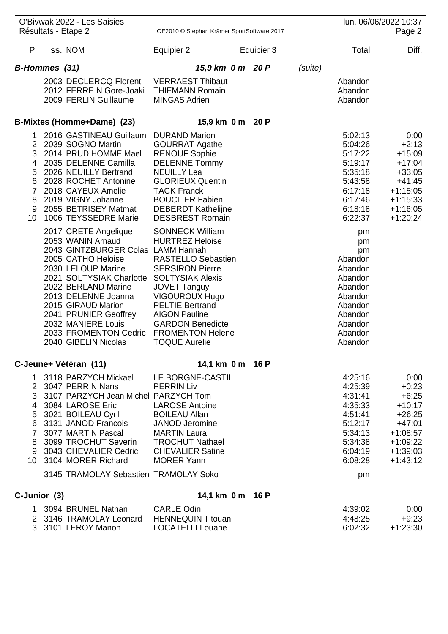|                                                                | O'Bivwak 2022 - Les Saisies<br>Résultats - Etape 2                                                                                                                                                                                                                                                                          | OE2010 © Stephan Krämer SportSoftware 2017                                                                                                                                                                                                                                                                         |            |         |                                                                                                                              | lun. 06/06/2022 10:37<br>Page 2                                                                                         |
|----------------------------------------------------------------|-----------------------------------------------------------------------------------------------------------------------------------------------------------------------------------------------------------------------------------------------------------------------------------------------------------------------------|--------------------------------------------------------------------------------------------------------------------------------------------------------------------------------------------------------------------------------------------------------------------------------------------------------------------|------------|---------|------------------------------------------------------------------------------------------------------------------------------|-------------------------------------------------------------------------------------------------------------------------|
| PI                                                             | ss. NOM                                                                                                                                                                                                                                                                                                                     | Equipier 2                                                                                                                                                                                                                                                                                                         | Equipier 3 |         | Total                                                                                                                        | Diff.                                                                                                                   |
| B-Hommes (31)                                                  |                                                                                                                                                                                                                                                                                                                             | 15,9 km 0 m 20 P                                                                                                                                                                                                                                                                                                   |            | (suite) |                                                                                                                              |                                                                                                                         |
|                                                                | 2003 DECLERCQ Florent<br>2012 FERRE N Gore-Joaki<br>2009 FERLIN Guillaume                                                                                                                                                                                                                                                   | <b>VERRAEST Thibaut</b><br><b>THIEMANN Romain</b><br><b>MINGAS Adrien</b>                                                                                                                                                                                                                                          |            |         | Abandon<br>Abandon<br>Abandon                                                                                                |                                                                                                                         |
|                                                                | B-Mixtes (Homme+Dame) (23)                                                                                                                                                                                                                                                                                                  | 15,9 km 0 m 20 P                                                                                                                                                                                                                                                                                                   |            |         |                                                                                                                              |                                                                                                                         |
| 3<br>4<br>5<br>6<br>7<br>8<br>9<br>10 <sup>°</sup>             | 1 2016 GASTINEAU Guillaum<br>2 2039 SOGNO Martin<br>2014 PRUD HOMME Mael<br>2035 DELENNE Camilla<br>2026 NEUILLY Bertrand<br>2028 ROCHET Antonine<br>2018 CAYEUX Amelie<br>2019 VIGNY Johanne<br>2055 BETRISEY Matmat<br>1006 TEYSSEDRE Marie                                                                               | <b>DURAND Marion</b><br><b>GOURRAT Agathe</b><br><b>RENOUF Sophie</b><br><b>DELENNE Tommy</b><br><b>NEUILLY Lea</b><br><b>GLORIEUX Quentin</b><br><b>TACK Franck</b><br><b>BOUCLIER Fabien</b><br><b>DEBERDT Kathelijne</b><br><b>DESBREST Romain</b>                                                              |            |         | 5:02:13<br>5:04:26<br>5:17:22<br>5:19:17<br>5:35:18<br>5:43:58<br>6:17:18<br>6:17:46<br>6:18:18<br>6:22:37                   | 0:00<br>$+2:13$<br>$+15:09$<br>$+17:04$<br>$+33:05$<br>$+41:45$<br>$+1:15:05$<br>$+1:15:33$<br>$+1:16:05$<br>$+1:20:24$ |
|                                                                | 2017 CRETE Angelique<br>2053 WANIN Arnaud<br>2043 GINTZBURGER Colas LAMM Hannah<br>2005 CATHO Heloise<br>2030 LELOUP Marine<br>2021 SOLTYSIAK Charlotte<br>2022 BERLAND Marine<br>2013 DELENNE Joanna<br>2015 GIRAUD Marion<br>2041 PRUNIER Geoffrey<br>2032 MANIERE Louis<br>2033 FROMENTON Cedric<br>2040 GIBELIN Nicolas | <b>SONNECK William</b><br><b>HURTREZ Heloise</b><br><b>RASTELLO Sebastien</b><br><b>SERSIRON Pierre</b><br><b>SOLTYSIAK Alexis</b><br><b>JOVET Tanguy</b><br><b>VIGOUROUX Hugo</b><br><b>PELTIE Bertrand</b><br><b>AIGON Pauline</b><br><b>GARDON Benedicte</b><br><b>FROMENTON Helene</b><br><b>TOQUE Aurelie</b> |            |         | pm<br>pm<br>pm<br>Abandon<br>Abandon<br>Abandon<br>Abandon<br>Abandon<br>Abandon<br>Abandon<br>Abandon<br>Abandon<br>Abandon |                                                                                                                         |
|                                                                | C-Jeune+ Vétéran (11)                                                                                                                                                                                                                                                                                                       | 14,1 km 0 m 16 P                                                                                                                                                                                                                                                                                                   |            |         |                                                                                                                              |                                                                                                                         |
| 1<br>$\overline{2}$<br>3<br>4<br>5<br>6<br>$\overline{7}$<br>8 | 3118 PARZYCH Mickael<br>3047 PERRIN Nans<br>3107 PARZYCH Jean Michel PARZYCH Tom<br>3084 LAROSE Eric<br>3021 BOILEAU Cyril<br>3131 JANOD Francois<br>3077 MARTIN Pascal<br>3099 TROCHUT Severin<br>9 3043 CHEVALIER Cedric<br>10 3104 MORER Richard                                                                         | LE BORGNE-CASTIL<br><b>PERRIN Liv</b><br><b>LAROSE Antoine</b><br><b>BOILEAU Allan</b><br>JANOD Jeromine<br><b>MARTIN Laura</b><br><b>TROCHUT Nathael</b><br><b>CHEVALIER Satine</b><br><b>MORER Yann</b>                                                                                                          |            |         | 4:25:16<br>4:25:39<br>4:31:41<br>4:35:33<br>4:51:41<br>5:12:17<br>5:34:13<br>5:34:38<br>6:04:19<br>6:08:28                   | 0:00<br>$+0:23$<br>$+6:25$<br>$+10:17$<br>$+26:25$<br>$+47:01$<br>$+1:08:57$<br>$+1:09:22$<br>$+1:39:03$<br>$+1:43:12$  |
|                                                                | 3145 TRAMOLAY Sebastien TRAMOLAY Soko                                                                                                                                                                                                                                                                                       |                                                                                                                                                                                                                                                                                                                    |            |         | pm                                                                                                                           |                                                                                                                         |
| C-Junior (3)                                                   |                                                                                                                                                                                                                                                                                                                             | 14,1 km 0 m 16 P                                                                                                                                                                                                                                                                                                   |            |         |                                                                                                                              |                                                                                                                         |
|                                                                | 1 3094 BRUNEL Nathan<br>2 3146 TRAMOLAY Leonard<br>3 3101 LEROY Manon                                                                                                                                                                                                                                                       | <b>CARLE Odin</b><br><b>HENNEQUIN Titouan</b><br><b>LOCATELLI Louane</b>                                                                                                                                                                                                                                           |            |         | 4:39:02<br>4:48:25<br>6:02:32                                                                                                | 0:00<br>$+9:23$<br>$+1:23:30$                                                                                           |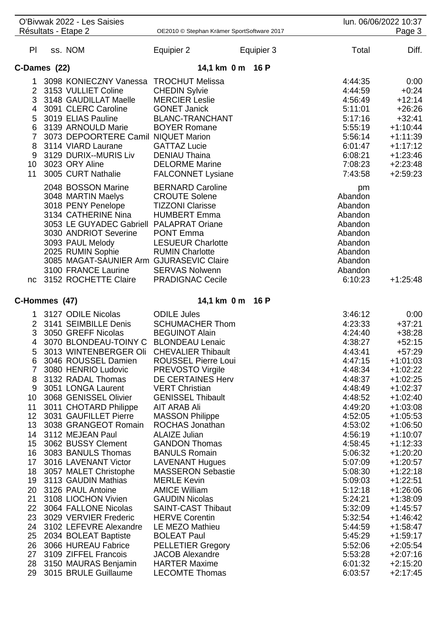|                     | O'Bivwak 2022 - Les Saisies<br>Résultats - Etape 2 | OE2010 © Stephan Krämer SportSoftware 2017       |                  |            |                    | lun. 06/06/2022 10:37<br>Page 3 |
|---------------------|----------------------------------------------------|--------------------------------------------------|------------------|------------|--------------------|---------------------------------|
|                     |                                                    |                                                  |                  |            |                    |                                 |
| PI                  | ss. NOM                                            | Equipier 2                                       |                  | Equipier 3 | Total              | Diff.                           |
| C-Dames (22)        |                                                    |                                                  | 14,1 km 0 m 16 P |            |                    |                                 |
| 1.                  | 3098 KONIECZNY Vanessa TROCHUT Melissa             |                                                  |                  |            | 4:44:35            | 0:00                            |
|                     | 2 3153 VULLIET Coline                              | <b>CHEDIN Sylvie</b>                             |                  |            | 4:44:59            | $+0:24$                         |
|                     | 3 3148 GAUDILLAT Maelle                            | <b>MERCIER Leslie</b>                            |                  |            | 4:56:49            | $+12:14$                        |
| 4<br>5              | 3091 CLERC Caroline<br>3019 ELIAS Pauline          | <b>GONET Janick</b><br><b>BLANC-TRANCHANT</b>    |                  |            | 5:11:01<br>5:17:16 | $+26:26$<br>$+32:41$            |
| 6                   | 3139 ARNOULD Marie                                 | <b>BOYER Romane</b>                              |                  |            | 5:55:19            | $+1:10:44$                      |
| $7^{\circ}$         | 3073 DEPOORTERE Camil NIQUET Marion                |                                                  |                  |            | 5:56:14            | $+1:11:39$                      |
|                     | 8 3114 VIARD Laurane                               | <b>GATTAZ Lucie</b>                              |                  |            | 6:01:47            | $+1:17:12$                      |
| 9                   | 3129 DURIX--MURIS Liv                              | <b>DENIAU Thaina</b>                             |                  |            | 6:08:21            | $+1:23:46$                      |
|                     | 10 3023 ORY Aline                                  | <b>DELORME Marine</b>                            |                  |            | 7:08:23            | $+2:23:48$                      |
| 11                  | 3005 CURT Nathalie                                 | <b>FALCONNET Lysiane</b>                         |                  |            | 7:43:58            | $+2:59:23$                      |
|                     | 2048 BOSSON Marine                                 | <b>BERNARD Caroline</b>                          |                  |            | pm                 |                                 |
|                     | 3048 MARTIN Maelys<br>3018 PENY Penelope           | <b>CROUTE Solene</b>                             |                  |            | Abandon<br>Abandon |                                 |
|                     | 3134 CATHERINE Nina                                | <b>TIZZONI Clarisse</b><br><b>HUMBERT Emma</b>   |                  |            | Abandon            |                                 |
|                     | 3053 LE GUYADEC Gabriell PALAPRAT Oriane           |                                                  |                  |            | Abandon            |                                 |
|                     | 3030 ANDRIOT Severine                              | <b>PONT Emma</b>                                 |                  |            | Abandon            |                                 |
|                     | 3093 PAUL Melody                                   | <b>LESUEUR Charlotte</b>                         |                  |            | Abandon            |                                 |
|                     | 2025 RUMIN Sophie                                  | <b>RUMIN Charlotte</b>                           |                  |            | Abandon            |                                 |
|                     | 3085 MAGAT-SAUNIER Arm GJURASEVIC Claire           |                                                  |                  |            | Abandon            |                                 |
|                     | 3100 FRANCE Laurine                                | <b>SERVAS Nolwenn</b>                            |                  |            | Abandon            |                                 |
|                     | nc 3152 ROCHETTE Claire                            | <b>PRADIGNAC Cecile</b>                          |                  |            | 6:10:23            | $+1:25:48$                      |
| C-Hommes (47)       |                                                    |                                                  | 14,1 km 0 m 16 P |            |                    |                                 |
| 1                   | 3127 ODILE Nicolas                                 | <b>ODILE Jules</b>                               |                  |            | 3:46:12            | 0:00                            |
|                     | 2 3141 SEIMBILLE Denis                             | <b>SCHUMACHER Thom</b>                           |                  |            | 4:23:33            | $+37:21$                        |
| 3 <sup>1</sup>      | 3050 GREFF Nicolas                                 | <b>BEGUINOT Alain</b>                            |                  |            | 4:24:40            | $+38:28$                        |
| $\overline{4}$<br>5 | 3070 BLONDEAU-TOINY C BLONDEAU Lenaic              |                                                  |                  |            | 4:38:27            | $+52:15$                        |
| 6                   | 3013 WINTENBERGER Oli<br>3046 ROUSSEL Damien       | <b>CHEVALIER Thibault</b><br>ROUSSEL Pierre Loui |                  |            | 4:43:41<br>4:47:15 | $+57:29$<br>+1:01:03            |
| $\overline{7}$      | 3080 HENRIO Ludovic                                | PREVOSTO Virgile                                 |                  |            | 4:48:34            | +1:02:22                        |
| 8                   | 3132 RADAL Thomas                                  | <b>DE CERTAINES Herv</b>                         |                  |            | 4:48:37            | $+1:02:25$                      |
| 9                   | 3051 LONGA Laurent                                 | <b>VERT Christian</b>                            |                  |            | 4:48:49            | $+1:02:37$                      |
| 10                  | 3068 GENISSEL Olivier                              | <b>GENISSEL Thibault</b>                         |                  |            | 4:48:52            | +1:02:40                        |
| 11                  | 3011 CHOTARD Philippe                              | AIT ARAB Ali                                     |                  |            | 4:49:20            | $+1:03:08$                      |
| 12                  | 3031 GAUFILLET Pierre                              | <b>MASSON Philippe</b>                           |                  |            | 4:52:05            | $+1:05:53$                      |
| 13                  | 3038 GRANGEOT Romain                               | ROCHAS Jonathan                                  |                  |            | 4:53:02            | $+1:06:50$                      |
| 14<br>15            | 3112 MEJEAN Paul<br>3062 BUSSY Clement             | <b>ALAIZE Julian</b><br><b>GANDON Thomas</b>     |                  |            | 4:56:19<br>4:58:45 | $+1:10:07$<br>$+1:12:33$        |
| 16                  | 3083 BANULS Thomas                                 | <b>BANULS Romain</b>                             |                  |            | 5:06:32            | $+1:20:20$                      |
| 17                  | 3016 LAVENANT Victor                               | <b>LAVENANT Hugues</b>                           |                  |            | 5:07:09            | $+1:20:57$                      |
| 18                  | 3057 MALET Christophe                              | <b>MASSERON Sebastie</b>                         |                  |            | 5:08:30            | $+1:22:18$                      |
| 19                  | 3113 GAUDIN Mathias                                | <b>MERLE Kevin</b>                               |                  |            | 5:09:03            | $+1:22:51$                      |
| 20                  | 3126 PAUL Antoine                                  | <b>AMICE William</b>                             |                  |            | 5:12:18            | $+1:26:06$                      |
| 21                  | 3108 LIOCHON Vivien                                | <b>GAUDIN Nicolas</b>                            |                  |            | 5:24:21            | $+1:38:09$                      |
| 22                  | 3064 FALLONE Nicolas                               | <b>SAINT-CAST Thibaut</b>                        |                  |            | 5:32:09            | $+1:45:57$                      |
| 23                  | 3029 VERVIER Frederic                              | <b>HERVE Corentin</b>                            |                  |            | 5:32:54            | $+1:46:42$                      |
| 24<br>25            | 3102 LEFEVRE Alexandre<br>2034 BOLEAT Baptiste     | LE MEZO Mathieu<br><b>BOLEAT Paul</b>            |                  |            | 5:44:59<br>5:45:29 | $+1:58:47$<br>$+1:59:17$        |
| 26                  | 3066 HUREAU Fabrice                                | <b>PELLETIER Gregory</b>                         |                  |            | 5:52:06            | $+2:05:54$                      |
| 27                  | 3109 ZIFFEL Francois                               | JACOB Alexandre                                  |                  |            | 5:53:28            | $+2:07:16$                      |
| 28                  | 3150 MAURAS Benjamin                               | <b>HARTER Maxime</b>                             |                  |            | 6:01:32            | $+2:15:20$                      |
| 29                  | 3015 BRULE Guillaume                               | <b>LECOMTE Thomas</b>                            |                  |            | 6:03:57            | $+2:17:45$                      |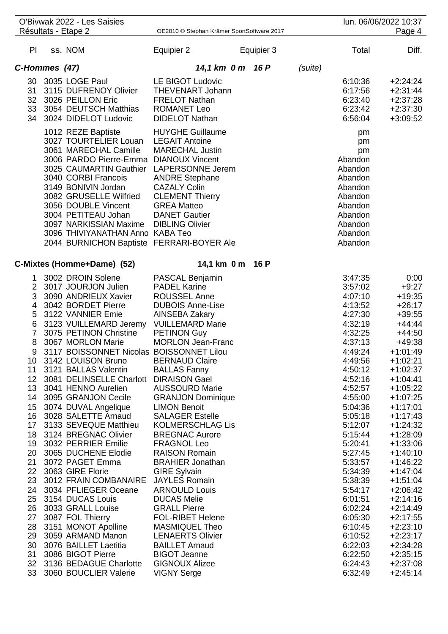|                | O'Bivwak 2022 - Les Saisies<br>Résultats - Etape 2 | OE2010 © Stephan Krämer SportSoftware 2017 |            |         |         | lun. 06/06/2022 10:37<br>Page 4 |
|----------------|----------------------------------------------------|--------------------------------------------|------------|---------|---------|---------------------------------|
| PI.            | ss. NOM                                            | Equipier 2                                 | Equipier 3 |         | Total   | Diff.                           |
|                |                                                    |                                            |            |         |         |                                 |
| C-Hommes (47)  |                                                    | 14,1 km 0 m 16 P                           |            | (suite) |         |                                 |
| 30             | 3035 LOGE Paul                                     | LE BIGOT Ludovic                           |            |         | 6:10:36 | $+2:24:24$                      |
| 31             | 3115 DUFRENOY Olivier                              | <b>THEVENART Johann</b>                    |            |         | 6:17:56 | $+2:31:44$                      |
|                | 32 3026 PEILLON Eric                               | <b>FRELOT Nathan</b>                       |            |         | 6:23:40 | $+2:37:28$                      |
|                | 33 3054 DEUTSCH Matthias                           | <b>ROMANET Leo</b>                         |            |         | 6:23:42 | $+2:37:30$                      |
|                | 34 3024 DIDELOT Ludovic                            | <b>DIDELOT Nathan</b>                      |            |         | 6:56:04 | $+3:09:52$                      |
|                | 1012 REZE Baptiste                                 | <b>HUYGHE Guillaume</b>                    |            |         | pm      |                                 |
|                | 3027 TOURTELIER Louan LEGAIT Antoine               |                                            |            |         | pm      |                                 |
|                | 3061 MARECHAL Camille                              | <b>MARECHAL Justin</b>                     |            |         | pm      |                                 |
|                | 3006 PARDO Pierre-Emma DIANOUX Vincent             |                                            |            |         | Abandon |                                 |
|                | 3025 CAUMARTIN Gauthier LAPERSONNE Jerem           |                                            |            |         | Abandon |                                 |
|                | 3040 CORBI Francois                                | <b>ANDRE Stephane</b>                      |            |         | Abandon |                                 |
|                | 3149 BONIVIN Jordan                                | <b>CAZALY Colin</b>                        |            |         | Abandon |                                 |
|                | 3082 GRUSELLE Wilfried                             | <b>CLEMENT Thierry</b>                     |            |         | Abandon |                                 |
|                | 3056 DOUBLE Vincent                                | <b>GREA Matteo</b>                         |            |         | Abandon |                                 |
|                | 3004 PETITEAU Johan                                | <b>DANET Gautier</b>                       |            |         | Abandon |                                 |
|                | 3097 NARKISSIAN Maxime DIBLING Olivier             |                                            |            |         | Abandon |                                 |
|                | 3096 THIVIYANATHAN Anno KABA Teo                   |                                            |            |         | Abandon |                                 |
|                | 2044 BURNICHON Baptiste FERRARI-BOYER Ale          |                                            |            |         | Abandon |                                 |
|                |                                                    |                                            |            |         |         |                                 |
|                | C-Mixtes (Homme+Dame) (52)                         | 14,1 km 0 m 16 P                           |            |         |         |                                 |
| $\mathbf 1$    | 3002 DROIN Solene                                  | PASCAL Benjamin                            |            |         | 3:47:35 | 0:00                            |
|                | 2 3017 JOURJON Julien                              | <b>PADEL Karine</b>                        |            |         | 3:57:02 | $+9:27$                         |
|                | 3 3090 ANDRIEUX Xavier                             | <b>ROUSSEL Anne</b>                        |            |         | 4:07:10 | $+19:35$                        |
| $\overline{4}$ | 3042 BORDET Pierre                                 | <b>DUBOIS Anne-Lise</b>                    |            |         | 4:13:52 | $+26:17$                        |
| 5              | 3122 VANNIER Emie                                  | AINSEBA Zakary                             |            |         | 4:27:30 | $+39:55$                        |
| 6              | 3123 VUILLEMARD Jeremy VUILLEMARD Marie            |                                            |            |         | 4:32:19 | $+44:44$                        |
| $\overline{7}$ | 3075 PETINON Christine                             | <b>PETINON Guy</b>                         |            |         | 4:32:25 | $+44:50$                        |
| 8              | 3067 MORLON Marie                                  | <b>MORLON Jean-Franc</b>                   |            |         | 4:37:13 | $+49:38$                        |
| 9              | 3117 BOISSONNET Nicolas BOISSONNET Lilou           |                                            |            |         | 4:49:24 | $+1:01:49$                      |
| 10             | 3142 LOUISON Bruno                                 | <b>BERNAUD Claire</b>                      |            |         | 4:49:56 | $+1:02:21$                      |
| 11             | 3121 BALLAS Valentin                               | <b>BALLAS Fanny</b>                        |            |         | 4:50:12 | $+1:02:37$                      |
| 12             | 3081 DELINSELLE Charlott DIRAISON Gael             |                                            |            |         | 4:52:16 | $+1:04:41$                      |
| 13             | 3041 HENNO Aurelien                                | <b>AUSSOURD Marie</b>                      |            |         | 4:52:57 | $+1:05:22$                      |
| 14             | 3095 GRANJON Cecile                                | <b>GRANJON Dominique</b>                   |            |         | 4:55:00 | $+1:07:25$                      |
| 15             | 3074 DUVAL Angelique                               | <b>LIMON Benoit</b>                        |            |         | 5:04:36 | $+1:17:01$                      |
| 16             | 3028 SALETTE Arnaud                                | <b>SALAGER Estelle</b>                     |            |         | 5:05:18 | $+1:17:43$                      |
| 17             | 3133 SEVEQUE Matthieu                              | <b>KOLMERSCHLAG Lis</b>                    |            |         | 5:12:07 | $+1:24:32$                      |
|                | 18 3124 BREGNAC Olivier                            | <b>BREGNAC Aurore</b>                      |            |         | 5:15:44 | $+1:28:09$                      |
|                | 19 3032 PERRIER Emilie                             | <b>FRAGNOL Leo</b>                         |            |         | 5:20:41 | $+1:33:06$                      |
| 20             | 3065 DUCHENE Elodie                                | <b>RAISON Romain</b>                       |            |         | 5:27:45 | $+1:40:10$                      |
| 21             | 3072 PAGET Emma                                    | <b>BRAHIER Jonathan</b>                    |            |         | 5:33:57 | $+1:46:22$                      |
|                | 22 3063 GIRE Florie                                | <b>GIRE Sylvain</b>                        |            |         | 5:34:39 | $+1:47:04$                      |
|                | 23 3012 FRAIN COMBANAIRE JAYLES Romain             |                                            |            |         | 5:38:39 | $+1:51:04$                      |
| 24             | 3034 PFLIEGER Oceane                               | <b>ARNOULD Louis</b>                       |            |         | 5:54:17 | $+2:06:42$                      |
| 25             | 3154 DUCAS Louis                                   | <b>DUCAS Melie</b>                         |            |         | 6:01:51 | $+2:14:16$                      |
| 26             | 3033 GRALL Louise                                  | <b>GRALL Pierre</b>                        |            |         | 6:02:24 | $+2:14:49$                      |
| 27             | 3087 FOL Thierry                                   | <b>FOL-RIBET Helene</b>                    |            |         | 6:05:30 | $+2:17:55$                      |
| 28             | 3151 MONOT Apolline                                | MASMIQUEL Theo                             |            |         | 6:10:45 | $+2:23:10$                      |
| 29             | 3059 ARMAND Manon                                  | <b>LENAERTS Olivier</b>                    |            |         | 6:10:52 | $+2:23:17$                      |
| 30             | 3076 BAILLET Laetitia                              | <b>BAILLET Arnaud</b>                      |            |         | 6:22:03 | $+2:34:28$                      |
| 31             | 3086 BIGOT Pierre                                  | <b>BIGOT Jeanne</b>                        |            |         | 6:22:50 | $+2:35:15$                      |
| 32             | 3136 BEDAGUE Charlotte                             | <b>GIGNOUX Alizee</b>                      |            |         | 6:24:43 | $+2:37:08$                      |
| 33             | 3060 BOUCLIER Valerie                              | <b>VIGNY Serge</b>                         |            |         | 6:32:49 | $+2:45:14$                      |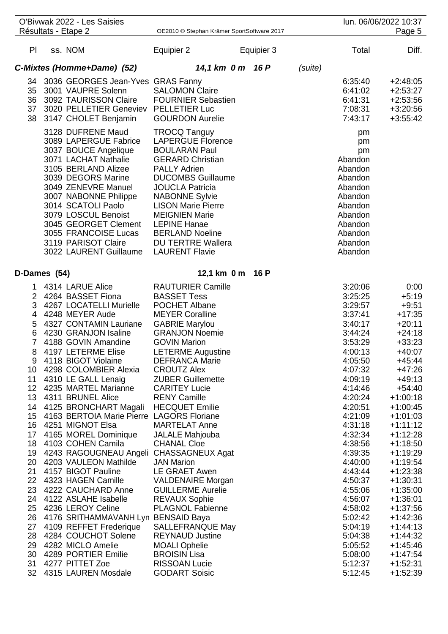| O'Bivwak 2022 - Les Saisies<br>Résultats - Etape 2<br>OE2010 © Stephan Krämer SportSoftware 2017                                                                                                         |                                                                                                                                                                                                                                                                                                                                                                                                                                                                                                                                                                                                                                                                                                                                                                                                                                                                                                                                                                                                                                  |                                                                                                                                                                                                                                                                                                                                                                                                                                                                                                                                                                                                                                                                                                                                                                                                                                                                                                                                                                                                              | lun. 06/06/2022 10:37<br>Page 5                                                                                                                                                                                                                                                                                                                                                                                                                                                                                                                                                                                                                                              |
|----------------------------------------------------------------------------------------------------------------------------------------------------------------------------------------------------------|----------------------------------------------------------------------------------------------------------------------------------------------------------------------------------------------------------------------------------------------------------------------------------------------------------------------------------------------------------------------------------------------------------------------------------------------------------------------------------------------------------------------------------------------------------------------------------------------------------------------------------------------------------------------------------------------------------------------------------------------------------------------------------------------------------------------------------------------------------------------------------------------------------------------------------------------------------------------------------------------------------------------------------|--------------------------------------------------------------------------------------------------------------------------------------------------------------------------------------------------------------------------------------------------------------------------------------------------------------------------------------------------------------------------------------------------------------------------------------------------------------------------------------------------------------------------------------------------------------------------------------------------------------------------------------------------------------------------------------------------------------------------------------------------------------------------------------------------------------------------------------------------------------------------------------------------------------------------------------------------------------------------------------------------------------|------------------------------------------------------------------------------------------------------------------------------------------------------------------------------------------------------------------------------------------------------------------------------------------------------------------------------------------------------------------------------------------------------------------------------------------------------------------------------------------------------------------------------------------------------------------------------------------------------------------------------------------------------------------------------|
|                                                                                                                                                                                                          |                                                                                                                                                                                                                                                                                                                                                                                                                                                                                                                                                                                                                                                                                                                                                                                                                                                                                                                                                                                                                                  |                                                                                                                                                                                                                                                                                                                                                                                                                                                                                                                                                                                                                                                                                                                                                                                                                                                                                                                                                                                                              | Diff.                                                                                                                                                                                                                                                                                                                                                                                                                                                                                                                                                                                                                                                                        |
|                                                                                                                                                                                                          |                                                                                                                                                                                                                                                                                                                                                                                                                                                                                                                                                                                                                                                                                                                                                                                                                                                                                                                                                                                                                                  | (suite)                                                                                                                                                                                                                                                                                                                                                                                                                                                                                                                                                                                                                                                                                                                                                                                                                                                                                                                                                                                                      |                                                                                                                                                                                                                                                                                                                                                                                                                                                                                                                                                                                                                                                                              |
|                                                                                                                                                                                                          |                                                                                                                                                                                                                                                                                                                                                                                                                                                                                                                                                                                                                                                                                                                                                                                                                                                                                                                                                                                                                                  |                                                                                                                                                                                                                                                                                                                                                                                                                                                                                                                                                                                                                                                                                                                                                                                                                                                                                                                                                                                                              | $+2:48:05$<br>$+2:53:27$<br>$+2:53:56$<br>$+3:20:56$<br>$+3:55:42$                                                                                                                                                                                                                                                                                                                                                                                                                                                                                                                                                                                                           |
| <b>PALLY Adrien</b><br><b>LEPINE Hanae</b>                                                                                                                                                               |                                                                                                                                                                                                                                                                                                                                                                                                                                                                                                                                                                                                                                                                                                                                                                                                                                                                                                                                                                                                                                  |                                                                                                                                                                                                                                                                                                                                                                                                                                                                                                                                                                                                                                                                                                                                                                                                                                                                                                                                                                                                              |                                                                                                                                                                                                                                                                                                                                                                                                                                                                                                                                                                                                                                                                              |
|                                                                                                                                                                                                          |                                                                                                                                                                                                                                                                                                                                                                                                                                                                                                                                                                                                                                                                                                                                                                                                                                                                                                                                                                                                                                  |                                                                                                                                                                                                                                                                                                                                                                                                                                                                                                                                                                                                                                                                                                                                                                                                                                                                                                                                                                                                              |                                                                                                                                                                                                                                                                                                                                                                                                                                                                                                                                                                                                                                                                              |
| <b>BASSET Tess</b><br><b>GOVIN Marion</b><br><b>CROUTZ Alex</b><br><b>CARITEY Lucie</b><br><b>RENY Camille</b><br><b>CHANAL Cloe</b><br><b>JAN Marion</b><br><b>MOALI Ophelie</b><br><b>BROISIN Lisa</b> |                                                                                                                                                                                                                                                                                                                                                                                                                                                                                                                                                                                                                                                                                                                                                                                                                                                                                                                                                                                                                                  |                                                                                                                                                                                                                                                                                                                                                                                                                                                                                                                                                                                                                                                                                                                                                                                                                                                                                                                                                                                                              | 0:00<br>$+5:19$<br>$+9:51$<br>$+17:35$<br>$+20:11$<br>$+24:18$<br>$+33:23$<br>$+40:07$<br>$+45:44$<br>$+47:26$<br>$+49:13$<br>$+54:40$<br>$+1:00:18$<br>$+1:00:45$<br>$+1:01:03$<br>$+1:11:12$<br>$+1:12:28$<br>$+1:18:50$<br>$+1:19:29$<br>$+1:19:54$<br>$+1:23:38$<br>$+1:30:31$<br>$+1:35:00$<br>$+1:36:01$<br>$+1:37:56$<br>$+1:42:36$<br>$+1:44:13$<br>$+1:44:32$<br>$+1:45:46$<br>$+1:47:54$<br>$+1:52:31$                                                                                                                                                                                                                                                             |
|                                                                                                                                                                                                          | Equipier 2<br>C-Mixtes (Homme+Dame) (52)<br>3036 GEORGES Jean-Yves GRAS Fanny<br>35 3001 VAUPRE Solenn<br>36 3092 TAURISSON Claire<br>38 3147 CHOLET Benjamin<br>3128 DUFRENE Maud<br>3089 LAPERGUE Fabrice<br>3037 BOUCE Angelique<br>3071 LACHAT Nathalie<br>3105 BERLAND Alizee<br>3039 DEGORS Marine<br>3049 ZENEVRE Manuel<br>3007 NABONNE Philippe<br>3014 SCATOLI Paolo<br>3079 LOSCUL Benoist<br>3045 GEORGET Clement<br>3055 FRANCOISE Lucas<br>3119 PARISOT Claire<br>3022 LAURENT Guillaume<br>3 4267 LOCATELLI Murielle<br>4327 CONTAMIN Lauriane<br>4230 GRANJON Isaline<br>4188 GOVIN Amandine<br>4197 LETERME Elise<br>4298 COLOMBIER Alexia<br>4310 LE GALL Lenaig<br>4235 MARTEL Marianne<br>4125 BRONCHART Magali<br>4165 MOREL Dominique<br>4103 COHEN Camila<br>20 4203 VAULEON Mathilde<br>22 4323 HAGEN Camille<br>23 4222 CAUCHARD Anne<br>24 4122 ASLAHE Isabelle<br>4176 SRITHAMMAVANH Lyn BENSAID Baya<br>4109 REFFET Frederique<br>4284 COUCHOT Solene<br>4289 PORTIER Emilie<br><b>RISSOAN Lucie</b> | <b>SALOMON Claire</b><br><b>FOURNIER Sebastien</b><br>37 3020 PELLETIER Geneviev PELLETIER Luc<br><b>GOURDON Aurelie</b><br><b>TROCQ Tanguy</b><br><b>LAPERGUE Florence</b><br><b>BOULARAN Paul</b><br><b>GERARD Christian</b><br><b>DUCOMBS Guillaume</b><br><b>JOUCLA Patricia</b><br><b>NABONNE Sylvie</b><br><b>LISON Marie Pierre</b><br><b>MEIGNIEN Marie</b><br><b>BERLAND Noeline</b><br><b>DU TERTRE Wallera</b><br><b>LAURENT Flavie</b><br><b>RAUTURIER Camille</b><br>POCHET Albane<br><b>MEYER Coralline</b><br><b>GABRIE Marylou</b><br><b>GRANJON Noemie</b><br><b>LETERME Augustine</b><br><b>DEFRANCA Marie</b><br><b>ZUBER Guillemette</b><br><b>HECQUET Emilie</b><br>4163 BERTOIA Marie Pierre LAGORS Floriane<br><b>MARTELAT Anne</b><br>JALALE Mahjouba<br>19 4243 RAGOUGNEAU Angeli CHASSAGNEUX Agat<br><b>LE GRAET Awen</b><br><b>VALDENAIRE Morgan</b><br><b>GUILLERME Aurelie</b><br><b>REVAUX Sophie</b><br><b>PLAGNOL Fabienne</b><br>SALLEFRANQUE May<br><b>REYNAUD Justine</b> | Total<br>Equipier 3<br>14,1 km 0 m 16 P<br>6:35:40<br>6:41:02<br>6:41:31<br>7:08:31<br>7:43:17<br>pm<br>pm<br>pm<br>Abandon<br>Abandon<br>Abandon<br>Abandon<br>Abandon<br>Abandon<br>Abandon<br>Abandon<br>Abandon<br>Abandon<br>Abandon<br>12,1 km 0 m 16 P<br>3:20:06<br>3:25:25<br>3:29:57<br>3:37:41<br>3:40:17<br>3:44:24<br>3:53:29<br>4:00:13<br>4:05:50<br>4:07:32<br>4:09:19<br>4:14:46<br>4:20:24<br>4:20:51<br>4:21:09<br>4:31:18<br>4:32:34<br>4:38:56<br>4:39:35<br>4:40:00<br>4:43:44<br>4:50:37<br>4:55:06<br>4:56:07<br>4:58:02<br>5:02:42<br>5:04:19<br>5:04:38<br>5:05:52<br>5:08:00<br>5:12:37<br>4315 LAUREN Mosdale<br><b>GODART Soisic</b><br>5:12:45 |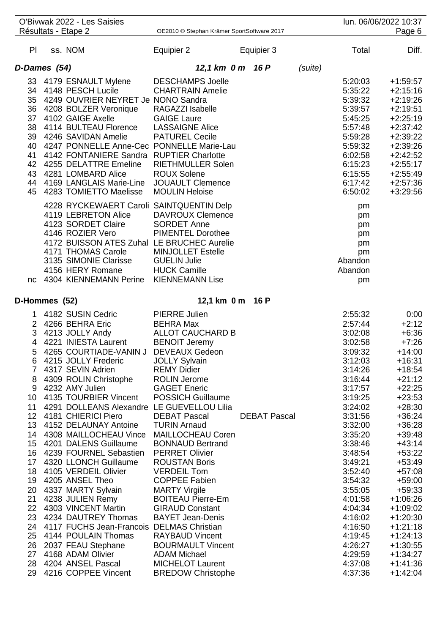| ss. NOM<br>Total<br>Diff.<br>PI.<br>Equipier 2<br>Equipier 3<br>12,1 km 0 m 16 P<br>D-Dames (54)<br>(suite)<br>33 4179 ESNAULT Mylene<br><b>DESCHAMPS Joelle</b><br>5:20:03<br>$+1:59:57$<br>34 4148 PESCH Lucile<br><b>CHARTRAIN Amelie</b><br>5:35:22<br>$+2:15:16$<br>35 4249 OUVRIER NEYRET Je NONO Sandra<br>5:39:32<br>$+2:19:26$<br>36 4208 BOLZER Veronique<br>RAGAZZI Isabelle<br>5:39:57<br>$+2:19:51$<br>37 4102 GAIGE Axelle<br><b>GAIGE Laure</b><br>$+2:25:19$<br>5:45:25<br>38 4114 BULTEAU Florence<br><b>LASSAIGNE Alice</b><br>$+2:37:42$<br>5:57:48<br>39 4246 SAVIDAN Amelie<br>$+2:39:22$<br><b>PATUREL Cecile</b><br>5:59:28<br>40 4247 PONNELLE Anne-Cec PONNELLE Marie-Lau<br>$+2:39:26$<br>5:59:32<br>41 4142 FONTANIERE Sandra RUPTIER Charlotte<br>$+2:42:52$<br>6:02:58<br>42 4255 DELATTRE Emeline<br><b>RIETHMULLER Solen</b><br>6:15:23<br>$+2:55:17$<br><b>ROUX Solene</b><br>43 4281 LOMBARD Alice<br>$+2:55:49$<br>6:15:55<br>44 4169 LANGLAIS Marie-Line JOUAULT Clemence<br>6:17:42<br>$+2:57:36$<br>45 4283 TOMIETTO Maelisse<br><b>MOULIN Heloise</b><br>6:50:02<br>$+3:29:56$<br>4228 RYCKEWAERT Caroli SAINTQUENTIN Delp<br>pm<br>4119 LEBRETON Alice<br><b>DAVROUX Clemence</b><br>pm<br>4123 SORDET Claire<br><b>SORDET Anne</b><br>pm<br>4146 ROZIER Vero<br><b>PIMENTEL Dorothee</b><br>pm<br>4172 BUISSON ATES Zuhal LE BRUCHEC Aurelie<br>pm<br>4171 THOMAS Carole<br><b>MINJOLLET Estelle</b><br>pm<br>Abandon<br>3135 SIMONIE Clarisse<br><b>GUELIN Julie</b><br>4156 HERY Romane<br><b>HUCK Camille</b><br>Abandon<br>nc 4304 KIENNEMANN Perine<br><b>KIENNEMANN Lise</b><br>pm<br>D-Hommes (52)<br>12,1 km 0 m 16 P<br>4182 SUSIN Cedric<br><b>PIERRE Julien</b><br>2:55:32<br>0:00<br>1<br>2 4266 BEHRA Eric<br><b>BEHRA Max</b><br>2:57:44<br>$+2:12$<br>3 4213 JOLLY Andy<br>ALLOT CAUCHARD B<br>3:02:08<br>$+6:36$<br>4 4221 INIESTA Laurent<br><b>BENOIT Jeremy</b><br>$+7:26$<br>3:02:58<br>5<br>4265 COURTIADE-VANIN J DEVEAUX Gedeon<br>3:09:32<br>$+14:00$<br>4215 JOLLY Frederic<br><b>JOLLY Sylvain</b><br>3:12:03<br>$+16:31$<br>$\overline{7}$<br>4317 SEVIN Adrien<br><b>REMY Didier</b><br>3:14:26<br>$+18:54$<br>4309 ROLIN Christophe<br><b>ROLIN Jerome</b><br>$+21:12$<br>8<br>3:16:44<br>4232 AMY Julien<br><b>GAGET Eneric</b><br>9<br>3:17:57<br>$+22:25$<br>4135 TOURBIER Vincent<br><b>POSSICH Guillaume</b><br>$+23:53$<br>10<br>3:19:25<br>4291 DOLLEANS Alexandre LE GUEVELLOU Lilia<br>3:24:02<br>$+28:30$<br>11<br>4181 CHIERICI Piero<br>12 <sub>2</sub><br><b>DEBAT Pascal</b><br><b>DEBAT Pascal</b><br>$+36:24$<br>3:31:56<br>4152 DELAUNAY Antoine<br><b>TURIN Arnaud</b><br>$+36:28$<br>13<br>3:32:00<br>14<br>4308 MAILLOCHEAU Vince MAILLOCHEAU Coren<br>3:35:20<br>$+39:48$<br>4201 DALENS Guillaume<br><b>BONNAUD Bertrand</b><br>$+43:14$<br>15 <sub>2</sub><br>3:38:46<br>4239 FOURNEL Sebastien PERRET Olivier<br>$+53:22$<br>16<br>3:48:54<br>17 4320 LLONCH Guillaume<br><b>ROUSTAN Boris</b><br>3:49:21<br>$+53:49$<br>4105 VERDEIL Olivier<br>18<br><b>VERDEIL Tom</b><br>3:52:40<br>$+57:08$<br>4205 ANSEL Theo<br><b>COPPEE Fabien</b><br>3:54:32<br>$+59:00$<br>19<br><b>MARTY Virgile</b><br>4337 MARTY Sylvain<br>20<br>3:55:05<br>$+59:33$<br>21<br>4238 JULIEN Remy<br><b>BOITEAU Pierre-Em</b><br>4:01:58<br>$+1:06:26$<br>22<br>4303 VINCENT Martin<br><b>GIRAUD Constant</b><br>4:04:34<br>$+1:09:02$<br>23<br>4234 DAUTREY Thomas<br><b>BAYET Jean-Denis</b><br>4:16:02<br>$+1:20:30$<br>24<br>4117 FUCHS Jean-Francois DELMAS Christian<br>$+1:21:18$<br>4:16:50<br>25<br>4144 POULAIN Thomas<br><b>RAYBAUD Vincent</b><br>$+1:24:13$<br>4:19:45<br>2037 FEAU Stephane<br>26<br><b>BOURMAULT Vincent</b><br>4:26:27<br>$+1:30:55$<br>4168 ADAM Olivier<br><b>ADAM Michael</b><br>4:29:59<br>27<br>+1:34:27<br>28<br>4204 ANSEL Pascal<br><b>MICHELOT Laurent</b><br>4:37:08<br>+1:41:36<br>4216 COPPEE Vincent<br><b>BREDOW Christophe</b><br>4:37:36<br>$+1:42:04$<br>29 | Résultats - Etape 2 | O'Bivwak 2022 - Les Saisies | OE2010 © Stephan Krämer SportSoftware 2017 |  |  | lun. 06/06/2022 10:37<br>Page 6 |
|---------------------------------------------------------------------------------------------------------------------------------------------------------------------------------------------------------------------------------------------------------------------------------------------------------------------------------------------------------------------------------------------------------------------------------------------------------------------------------------------------------------------------------------------------------------------------------------------------------------------------------------------------------------------------------------------------------------------------------------------------------------------------------------------------------------------------------------------------------------------------------------------------------------------------------------------------------------------------------------------------------------------------------------------------------------------------------------------------------------------------------------------------------------------------------------------------------------------------------------------------------------------------------------------------------------------------------------------------------------------------------------------------------------------------------------------------------------------------------------------------------------------------------------------------------------------------------------------------------------------------------------------------------------------------------------------------------------------------------------------------------------------------------------------------------------------------------------------------------------------------------------------------------------------------------------------------------------------------------------------------------------------------------------------------------------------------------------------------------------------------------------------------------------------------------------------------------------------------------------------------------------------------------------------------------------------------------------------------------------------------------------------------------------------------------------------------------------------------------------------------------------------------------------------------------------------------------------------------------------------------------------------------------------------------------------------------------------------------------------------------------------------------------------------------------------------------------------------------------------------------------------------------------------------------------------------------------------------------------------------------------------------------------------------------------------------------------------------------------------------------------------------------------------------------------------------------------------------------------------------------------------------------------------------------------------------------------------------------------------------------------------------------------------------------------------------------------------------------------------------------------------------------------------------------------------------------------------------------------------------------------------------------------------------------------------------------------------------------------------------------------------------------------------------------------------------------------------------------------------------------------------------------------------------------------------------------------------------------------------|---------------------|-----------------------------|--------------------------------------------|--|--|---------------------------------|
|                                                                                                                                                                                                                                                                                                                                                                                                                                                                                                                                                                                                                                                                                                                                                                                                                                                                                                                                                                                                                                                                                                                                                                                                                                                                                                                                                                                                                                                                                                                                                                                                                                                                                                                                                                                                                                                                                                                                                                                                                                                                                                                                                                                                                                                                                                                                                                                                                                                                                                                                                                                                                                                                                                                                                                                                                                                                                                                                                                                                                                                                                                                                                                                                                                                                                                                                                                                                                                                                                                                                                                                                                                                                                                                                                                                                                                                                                                                                                                                       |                     |                             |                                            |  |  |                                 |
|                                                                                                                                                                                                                                                                                                                                                                                                                                                                                                                                                                                                                                                                                                                                                                                                                                                                                                                                                                                                                                                                                                                                                                                                                                                                                                                                                                                                                                                                                                                                                                                                                                                                                                                                                                                                                                                                                                                                                                                                                                                                                                                                                                                                                                                                                                                                                                                                                                                                                                                                                                                                                                                                                                                                                                                                                                                                                                                                                                                                                                                                                                                                                                                                                                                                                                                                                                                                                                                                                                                                                                                                                                                                                                                                                                                                                                                                                                                                                                                       |                     |                             |                                            |  |  |                                 |
|                                                                                                                                                                                                                                                                                                                                                                                                                                                                                                                                                                                                                                                                                                                                                                                                                                                                                                                                                                                                                                                                                                                                                                                                                                                                                                                                                                                                                                                                                                                                                                                                                                                                                                                                                                                                                                                                                                                                                                                                                                                                                                                                                                                                                                                                                                                                                                                                                                                                                                                                                                                                                                                                                                                                                                                                                                                                                                                                                                                                                                                                                                                                                                                                                                                                                                                                                                                                                                                                                                                                                                                                                                                                                                                                                                                                                                                                                                                                                                                       |                     |                             |                                            |  |  |                                 |
|                                                                                                                                                                                                                                                                                                                                                                                                                                                                                                                                                                                                                                                                                                                                                                                                                                                                                                                                                                                                                                                                                                                                                                                                                                                                                                                                                                                                                                                                                                                                                                                                                                                                                                                                                                                                                                                                                                                                                                                                                                                                                                                                                                                                                                                                                                                                                                                                                                                                                                                                                                                                                                                                                                                                                                                                                                                                                                                                                                                                                                                                                                                                                                                                                                                                                                                                                                                                                                                                                                                                                                                                                                                                                                                                                                                                                                                                                                                                                                                       |                     |                             |                                            |  |  |                                 |
|                                                                                                                                                                                                                                                                                                                                                                                                                                                                                                                                                                                                                                                                                                                                                                                                                                                                                                                                                                                                                                                                                                                                                                                                                                                                                                                                                                                                                                                                                                                                                                                                                                                                                                                                                                                                                                                                                                                                                                                                                                                                                                                                                                                                                                                                                                                                                                                                                                                                                                                                                                                                                                                                                                                                                                                                                                                                                                                                                                                                                                                                                                                                                                                                                                                                                                                                                                                                                                                                                                                                                                                                                                                                                                                                                                                                                                                                                                                                                                                       |                     |                             |                                            |  |  |                                 |
|                                                                                                                                                                                                                                                                                                                                                                                                                                                                                                                                                                                                                                                                                                                                                                                                                                                                                                                                                                                                                                                                                                                                                                                                                                                                                                                                                                                                                                                                                                                                                                                                                                                                                                                                                                                                                                                                                                                                                                                                                                                                                                                                                                                                                                                                                                                                                                                                                                                                                                                                                                                                                                                                                                                                                                                                                                                                                                                                                                                                                                                                                                                                                                                                                                                                                                                                                                                                                                                                                                                                                                                                                                                                                                                                                                                                                                                                                                                                                                                       |                     |                             |                                            |  |  |                                 |
|                                                                                                                                                                                                                                                                                                                                                                                                                                                                                                                                                                                                                                                                                                                                                                                                                                                                                                                                                                                                                                                                                                                                                                                                                                                                                                                                                                                                                                                                                                                                                                                                                                                                                                                                                                                                                                                                                                                                                                                                                                                                                                                                                                                                                                                                                                                                                                                                                                                                                                                                                                                                                                                                                                                                                                                                                                                                                                                                                                                                                                                                                                                                                                                                                                                                                                                                                                                                                                                                                                                                                                                                                                                                                                                                                                                                                                                                                                                                                                                       |                     |                             |                                            |  |  |                                 |
|                                                                                                                                                                                                                                                                                                                                                                                                                                                                                                                                                                                                                                                                                                                                                                                                                                                                                                                                                                                                                                                                                                                                                                                                                                                                                                                                                                                                                                                                                                                                                                                                                                                                                                                                                                                                                                                                                                                                                                                                                                                                                                                                                                                                                                                                                                                                                                                                                                                                                                                                                                                                                                                                                                                                                                                                                                                                                                                                                                                                                                                                                                                                                                                                                                                                                                                                                                                                                                                                                                                                                                                                                                                                                                                                                                                                                                                                                                                                                                                       |                     |                             |                                            |  |  |                                 |
|                                                                                                                                                                                                                                                                                                                                                                                                                                                                                                                                                                                                                                                                                                                                                                                                                                                                                                                                                                                                                                                                                                                                                                                                                                                                                                                                                                                                                                                                                                                                                                                                                                                                                                                                                                                                                                                                                                                                                                                                                                                                                                                                                                                                                                                                                                                                                                                                                                                                                                                                                                                                                                                                                                                                                                                                                                                                                                                                                                                                                                                                                                                                                                                                                                                                                                                                                                                                                                                                                                                                                                                                                                                                                                                                                                                                                                                                                                                                                                                       |                     |                             |                                            |  |  |                                 |
|                                                                                                                                                                                                                                                                                                                                                                                                                                                                                                                                                                                                                                                                                                                                                                                                                                                                                                                                                                                                                                                                                                                                                                                                                                                                                                                                                                                                                                                                                                                                                                                                                                                                                                                                                                                                                                                                                                                                                                                                                                                                                                                                                                                                                                                                                                                                                                                                                                                                                                                                                                                                                                                                                                                                                                                                                                                                                                                                                                                                                                                                                                                                                                                                                                                                                                                                                                                                                                                                                                                                                                                                                                                                                                                                                                                                                                                                                                                                                                                       |                     |                             |                                            |  |  |                                 |
|                                                                                                                                                                                                                                                                                                                                                                                                                                                                                                                                                                                                                                                                                                                                                                                                                                                                                                                                                                                                                                                                                                                                                                                                                                                                                                                                                                                                                                                                                                                                                                                                                                                                                                                                                                                                                                                                                                                                                                                                                                                                                                                                                                                                                                                                                                                                                                                                                                                                                                                                                                                                                                                                                                                                                                                                                                                                                                                                                                                                                                                                                                                                                                                                                                                                                                                                                                                                                                                                                                                                                                                                                                                                                                                                                                                                                                                                                                                                                                                       |                     |                             |                                            |  |  |                                 |
|                                                                                                                                                                                                                                                                                                                                                                                                                                                                                                                                                                                                                                                                                                                                                                                                                                                                                                                                                                                                                                                                                                                                                                                                                                                                                                                                                                                                                                                                                                                                                                                                                                                                                                                                                                                                                                                                                                                                                                                                                                                                                                                                                                                                                                                                                                                                                                                                                                                                                                                                                                                                                                                                                                                                                                                                                                                                                                                                                                                                                                                                                                                                                                                                                                                                                                                                                                                                                                                                                                                                                                                                                                                                                                                                                                                                                                                                                                                                                                                       |                     |                             |                                            |  |  |                                 |
|                                                                                                                                                                                                                                                                                                                                                                                                                                                                                                                                                                                                                                                                                                                                                                                                                                                                                                                                                                                                                                                                                                                                                                                                                                                                                                                                                                                                                                                                                                                                                                                                                                                                                                                                                                                                                                                                                                                                                                                                                                                                                                                                                                                                                                                                                                                                                                                                                                                                                                                                                                                                                                                                                                                                                                                                                                                                                                                                                                                                                                                                                                                                                                                                                                                                                                                                                                                                                                                                                                                                                                                                                                                                                                                                                                                                                                                                                                                                                                                       |                     |                             |                                            |  |  |                                 |
|                                                                                                                                                                                                                                                                                                                                                                                                                                                                                                                                                                                                                                                                                                                                                                                                                                                                                                                                                                                                                                                                                                                                                                                                                                                                                                                                                                                                                                                                                                                                                                                                                                                                                                                                                                                                                                                                                                                                                                                                                                                                                                                                                                                                                                                                                                                                                                                                                                                                                                                                                                                                                                                                                                                                                                                                                                                                                                                                                                                                                                                                                                                                                                                                                                                                                                                                                                                                                                                                                                                                                                                                                                                                                                                                                                                                                                                                                                                                                                                       |                     |                             |                                            |  |  |                                 |
|                                                                                                                                                                                                                                                                                                                                                                                                                                                                                                                                                                                                                                                                                                                                                                                                                                                                                                                                                                                                                                                                                                                                                                                                                                                                                                                                                                                                                                                                                                                                                                                                                                                                                                                                                                                                                                                                                                                                                                                                                                                                                                                                                                                                                                                                                                                                                                                                                                                                                                                                                                                                                                                                                                                                                                                                                                                                                                                                                                                                                                                                                                                                                                                                                                                                                                                                                                                                                                                                                                                                                                                                                                                                                                                                                                                                                                                                                                                                                                                       |                     |                             |                                            |  |  |                                 |
|                                                                                                                                                                                                                                                                                                                                                                                                                                                                                                                                                                                                                                                                                                                                                                                                                                                                                                                                                                                                                                                                                                                                                                                                                                                                                                                                                                                                                                                                                                                                                                                                                                                                                                                                                                                                                                                                                                                                                                                                                                                                                                                                                                                                                                                                                                                                                                                                                                                                                                                                                                                                                                                                                                                                                                                                                                                                                                                                                                                                                                                                                                                                                                                                                                                                                                                                                                                                                                                                                                                                                                                                                                                                                                                                                                                                                                                                                                                                                                                       |                     |                             |                                            |  |  |                                 |
|                                                                                                                                                                                                                                                                                                                                                                                                                                                                                                                                                                                                                                                                                                                                                                                                                                                                                                                                                                                                                                                                                                                                                                                                                                                                                                                                                                                                                                                                                                                                                                                                                                                                                                                                                                                                                                                                                                                                                                                                                                                                                                                                                                                                                                                                                                                                                                                                                                                                                                                                                                                                                                                                                                                                                                                                                                                                                                                                                                                                                                                                                                                                                                                                                                                                                                                                                                                                                                                                                                                                                                                                                                                                                                                                                                                                                                                                                                                                                                                       |                     |                             |                                            |  |  |                                 |
|                                                                                                                                                                                                                                                                                                                                                                                                                                                                                                                                                                                                                                                                                                                                                                                                                                                                                                                                                                                                                                                                                                                                                                                                                                                                                                                                                                                                                                                                                                                                                                                                                                                                                                                                                                                                                                                                                                                                                                                                                                                                                                                                                                                                                                                                                                                                                                                                                                                                                                                                                                                                                                                                                                                                                                                                                                                                                                                                                                                                                                                                                                                                                                                                                                                                                                                                                                                                                                                                                                                                                                                                                                                                                                                                                                                                                                                                                                                                                                                       |                     |                             |                                            |  |  |                                 |
|                                                                                                                                                                                                                                                                                                                                                                                                                                                                                                                                                                                                                                                                                                                                                                                                                                                                                                                                                                                                                                                                                                                                                                                                                                                                                                                                                                                                                                                                                                                                                                                                                                                                                                                                                                                                                                                                                                                                                                                                                                                                                                                                                                                                                                                                                                                                                                                                                                                                                                                                                                                                                                                                                                                                                                                                                                                                                                                                                                                                                                                                                                                                                                                                                                                                                                                                                                                                                                                                                                                                                                                                                                                                                                                                                                                                                                                                                                                                                                                       |                     |                             |                                            |  |  |                                 |
|                                                                                                                                                                                                                                                                                                                                                                                                                                                                                                                                                                                                                                                                                                                                                                                                                                                                                                                                                                                                                                                                                                                                                                                                                                                                                                                                                                                                                                                                                                                                                                                                                                                                                                                                                                                                                                                                                                                                                                                                                                                                                                                                                                                                                                                                                                                                                                                                                                                                                                                                                                                                                                                                                                                                                                                                                                                                                                                                                                                                                                                                                                                                                                                                                                                                                                                                                                                                                                                                                                                                                                                                                                                                                                                                                                                                                                                                                                                                                                                       |                     |                             |                                            |  |  |                                 |
|                                                                                                                                                                                                                                                                                                                                                                                                                                                                                                                                                                                                                                                                                                                                                                                                                                                                                                                                                                                                                                                                                                                                                                                                                                                                                                                                                                                                                                                                                                                                                                                                                                                                                                                                                                                                                                                                                                                                                                                                                                                                                                                                                                                                                                                                                                                                                                                                                                                                                                                                                                                                                                                                                                                                                                                                                                                                                                                                                                                                                                                                                                                                                                                                                                                                                                                                                                                                                                                                                                                                                                                                                                                                                                                                                                                                                                                                                                                                                                                       |                     |                             |                                            |  |  |                                 |
|                                                                                                                                                                                                                                                                                                                                                                                                                                                                                                                                                                                                                                                                                                                                                                                                                                                                                                                                                                                                                                                                                                                                                                                                                                                                                                                                                                                                                                                                                                                                                                                                                                                                                                                                                                                                                                                                                                                                                                                                                                                                                                                                                                                                                                                                                                                                                                                                                                                                                                                                                                                                                                                                                                                                                                                                                                                                                                                                                                                                                                                                                                                                                                                                                                                                                                                                                                                                                                                                                                                                                                                                                                                                                                                                                                                                                                                                                                                                                                                       |                     |                             |                                            |  |  |                                 |
|                                                                                                                                                                                                                                                                                                                                                                                                                                                                                                                                                                                                                                                                                                                                                                                                                                                                                                                                                                                                                                                                                                                                                                                                                                                                                                                                                                                                                                                                                                                                                                                                                                                                                                                                                                                                                                                                                                                                                                                                                                                                                                                                                                                                                                                                                                                                                                                                                                                                                                                                                                                                                                                                                                                                                                                                                                                                                                                                                                                                                                                                                                                                                                                                                                                                                                                                                                                                                                                                                                                                                                                                                                                                                                                                                                                                                                                                                                                                                                                       |                     |                             |                                            |  |  |                                 |
|                                                                                                                                                                                                                                                                                                                                                                                                                                                                                                                                                                                                                                                                                                                                                                                                                                                                                                                                                                                                                                                                                                                                                                                                                                                                                                                                                                                                                                                                                                                                                                                                                                                                                                                                                                                                                                                                                                                                                                                                                                                                                                                                                                                                                                                                                                                                                                                                                                                                                                                                                                                                                                                                                                                                                                                                                                                                                                                                                                                                                                                                                                                                                                                                                                                                                                                                                                                                                                                                                                                                                                                                                                                                                                                                                                                                                                                                                                                                                                                       |                     |                             |                                            |  |  |                                 |
|                                                                                                                                                                                                                                                                                                                                                                                                                                                                                                                                                                                                                                                                                                                                                                                                                                                                                                                                                                                                                                                                                                                                                                                                                                                                                                                                                                                                                                                                                                                                                                                                                                                                                                                                                                                                                                                                                                                                                                                                                                                                                                                                                                                                                                                                                                                                                                                                                                                                                                                                                                                                                                                                                                                                                                                                                                                                                                                                                                                                                                                                                                                                                                                                                                                                                                                                                                                                                                                                                                                                                                                                                                                                                                                                                                                                                                                                                                                                                                                       |                     |                             |                                            |  |  |                                 |
|                                                                                                                                                                                                                                                                                                                                                                                                                                                                                                                                                                                                                                                                                                                                                                                                                                                                                                                                                                                                                                                                                                                                                                                                                                                                                                                                                                                                                                                                                                                                                                                                                                                                                                                                                                                                                                                                                                                                                                                                                                                                                                                                                                                                                                                                                                                                                                                                                                                                                                                                                                                                                                                                                                                                                                                                                                                                                                                                                                                                                                                                                                                                                                                                                                                                                                                                                                                                                                                                                                                                                                                                                                                                                                                                                                                                                                                                                                                                                                                       |                     |                             |                                            |  |  |                                 |
|                                                                                                                                                                                                                                                                                                                                                                                                                                                                                                                                                                                                                                                                                                                                                                                                                                                                                                                                                                                                                                                                                                                                                                                                                                                                                                                                                                                                                                                                                                                                                                                                                                                                                                                                                                                                                                                                                                                                                                                                                                                                                                                                                                                                                                                                                                                                                                                                                                                                                                                                                                                                                                                                                                                                                                                                                                                                                                                                                                                                                                                                                                                                                                                                                                                                                                                                                                                                                                                                                                                                                                                                                                                                                                                                                                                                                                                                                                                                                                                       |                     |                             |                                            |  |  |                                 |
|                                                                                                                                                                                                                                                                                                                                                                                                                                                                                                                                                                                                                                                                                                                                                                                                                                                                                                                                                                                                                                                                                                                                                                                                                                                                                                                                                                                                                                                                                                                                                                                                                                                                                                                                                                                                                                                                                                                                                                                                                                                                                                                                                                                                                                                                                                                                                                                                                                                                                                                                                                                                                                                                                                                                                                                                                                                                                                                                                                                                                                                                                                                                                                                                                                                                                                                                                                                                                                                                                                                                                                                                                                                                                                                                                                                                                                                                                                                                                                                       |                     |                             |                                            |  |  |                                 |
|                                                                                                                                                                                                                                                                                                                                                                                                                                                                                                                                                                                                                                                                                                                                                                                                                                                                                                                                                                                                                                                                                                                                                                                                                                                                                                                                                                                                                                                                                                                                                                                                                                                                                                                                                                                                                                                                                                                                                                                                                                                                                                                                                                                                                                                                                                                                                                                                                                                                                                                                                                                                                                                                                                                                                                                                                                                                                                                                                                                                                                                                                                                                                                                                                                                                                                                                                                                                                                                                                                                                                                                                                                                                                                                                                                                                                                                                                                                                                                                       |                     |                             |                                            |  |  |                                 |
|                                                                                                                                                                                                                                                                                                                                                                                                                                                                                                                                                                                                                                                                                                                                                                                                                                                                                                                                                                                                                                                                                                                                                                                                                                                                                                                                                                                                                                                                                                                                                                                                                                                                                                                                                                                                                                                                                                                                                                                                                                                                                                                                                                                                                                                                                                                                                                                                                                                                                                                                                                                                                                                                                                                                                                                                                                                                                                                                                                                                                                                                                                                                                                                                                                                                                                                                                                                                                                                                                                                                                                                                                                                                                                                                                                                                                                                                                                                                                                                       |                     |                             |                                            |  |  |                                 |
|                                                                                                                                                                                                                                                                                                                                                                                                                                                                                                                                                                                                                                                                                                                                                                                                                                                                                                                                                                                                                                                                                                                                                                                                                                                                                                                                                                                                                                                                                                                                                                                                                                                                                                                                                                                                                                                                                                                                                                                                                                                                                                                                                                                                                                                                                                                                                                                                                                                                                                                                                                                                                                                                                                                                                                                                                                                                                                                                                                                                                                                                                                                                                                                                                                                                                                                                                                                                                                                                                                                                                                                                                                                                                                                                                                                                                                                                                                                                                                                       |                     |                             |                                            |  |  |                                 |
|                                                                                                                                                                                                                                                                                                                                                                                                                                                                                                                                                                                                                                                                                                                                                                                                                                                                                                                                                                                                                                                                                                                                                                                                                                                                                                                                                                                                                                                                                                                                                                                                                                                                                                                                                                                                                                                                                                                                                                                                                                                                                                                                                                                                                                                                                                                                                                                                                                                                                                                                                                                                                                                                                                                                                                                                                                                                                                                                                                                                                                                                                                                                                                                                                                                                                                                                                                                                                                                                                                                                                                                                                                                                                                                                                                                                                                                                                                                                                                                       |                     |                             |                                            |  |  |                                 |
|                                                                                                                                                                                                                                                                                                                                                                                                                                                                                                                                                                                                                                                                                                                                                                                                                                                                                                                                                                                                                                                                                                                                                                                                                                                                                                                                                                                                                                                                                                                                                                                                                                                                                                                                                                                                                                                                                                                                                                                                                                                                                                                                                                                                                                                                                                                                                                                                                                                                                                                                                                                                                                                                                                                                                                                                                                                                                                                                                                                                                                                                                                                                                                                                                                                                                                                                                                                                                                                                                                                                                                                                                                                                                                                                                                                                                                                                                                                                                                                       |                     |                             |                                            |  |  |                                 |
|                                                                                                                                                                                                                                                                                                                                                                                                                                                                                                                                                                                                                                                                                                                                                                                                                                                                                                                                                                                                                                                                                                                                                                                                                                                                                                                                                                                                                                                                                                                                                                                                                                                                                                                                                                                                                                                                                                                                                                                                                                                                                                                                                                                                                                                                                                                                                                                                                                                                                                                                                                                                                                                                                                                                                                                                                                                                                                                                                                                                                                                                                                                                                                                                                                                                                                                                                                                                                                                                                                                                                                                                                                                                                                                                                                                                                                                                                                                                                                                       |                     |                             |                                            |  |  |                                 |
|                                                                                                                                                                                                                                                                                                                                                                                                                                                                                                                                                                                                                                                                                                                                                                                                                                                                                                                                                                                                                                                                                                                                                                                                                                                                                                                                                                                                                                                                                                                                                                                                                                                                                                                                                                                                                                                                                                                                                                                                                                                                                                                                                                                                                                                                                                                                                                                                                                                                                                                                                                                                                                                                                                                                                                                                                                                                                                                                                                                                                                                                                                                                                                                                                                                                                                                                                                                                                                                                                                                                                                                                                                                                                                                                                                                                                                                                                                                                                                                       |                     |                             |                                            |  |  |                                 |
|                                                                                                                                                                                                                                                                                                                                                                                                                                                                                                                                                                                                                                                                                                                                                                                                                                                                                                                                                                                                                                                                                                                                                                                                                                                                                                                                                                                                                                                                                                                                                                                                                                                                                                                                                                                                                                                                                                                                                                                                                                                                                                                                                                                                                                                                                                                                                                                                                                                                                                                                                                                                                                                                                                                                                                                                                                                                                                                                                                                                                                                                                                                                                                                                                                                                                                                                                                                                                                                                                                                                                                                                                                                                                                                                                                                                                                                                                                                                                                                       |                     |                             |                                            |  |  |                                 |
|                                                                                                                                                                                                                                                                                                                                                                                                                                                                                                                                                                                                                                                                                                                                                                                                                                                                                                                                                                                                                                                                                                                                                                                                                                                                                                                                                                                                                                                                                                                                                                                                                                                                                                                                                                                                                                                                                                                                                                                                                                                                                                                                                                                                                                                                                                                                                                                                                                                                                                                                                                                                                                                                                                                                                                                                                                                                                                                                                                                                                                                                                                                                                                                                                                                                                                                                                                                                                                                                                                                                                                                                                                                                                                                                                                                                                                                                                                                                                                                       |                     |                             |                                            |  |  |                                 |
|                                                                                                                                                                                                                                                                                                                                                                                                                                                                                                                                                                                                                                                                                                                                                                                                                                                                                                                                                                                                                                                                                                                                                                                                                                                                                                                                                                                                                                                                                                                                                                                                                                                                                                                                                                                                                                                                                                                                                                                                                                                                                                                                                                                                                                                                                                                                                                                                                                                                                                                                                                                                                                                                                                                                                                                                                                                                                                                                                                                                                                                                                                                                                                                                                                                                                                                                                                                                                                                                                                                                                                                                                                                                                                                                                                                                                                                                                                                                                                                       |                     |                             |                                            |  |  |                                 |
|                                                                                                                                                                                                                                                                                                                                                                                                                                                                                                                                                                                                                                                                                                                                                                                                                                                                                                                                                                                                                                                                                                                                                                                                                                                                                                                                                                                                                                                                                                                                                                                                                                                                                                                                                                                                                                                                                                                                                                                                                                                                                                                                                                                                                                                                                                                                                                                                                                                                                                                                                                                                                                                                                                                                                                                                                                                                                                                                                                                                                                                                                                                                                                                                                                                                                                                                                                                                                                                                                                                                                                                                                                                                                                                                                                                                                                                                                                                                                                                       |                     |                             |                                            |  |  |                                 |
|                                                                                                                                                                                                                                                                                                                                                                                                                                                                                                                                                                                                                                                                                                                                                                                                                                                                                                                                                                                                                                                                                                                                                                                                                                                                                                                                                                                                                                                                                                                                                                                                                                                                                                                                                                                                                                                                                                                                                                                                                                                                                                                                                                                                                                                                                                                                                                                                                                                                                                                                                                                                                                                                                                                                                                                                                                                                                                                                                                                                                                                                                                                                                                                                                                                                                                                                                                                                                                                                                                                                                                                                                                                                                                                                                                                                                                                                                                                                                                                       |                     |                             |                                            |  |  |                                 |
|                                                                                                                                                                                                                                                                                                                                                                                                                                                                                                                                                                                                                                                                                                                                                                                                                                                                                                                                                                                                                                                                                                                                                                                                                                                                                                                                                                                                                                                                                                                                                                                                                                                                                                                                                                                                                                                                                                                                                                                                                                                                                                                                                                                                                                                                                                                                                                                                                                                                                                                                                                                                                                                                                                                                                                                                                                                                                                                                                                                                                                                                                                                                                                                                                                                                                                                                                                                                                                                                                                                                                                                                                                                                                                                                                                                                                                                                                                                                                                                       |                     |                             |                                            |  |  |                                 |
|                                                                                                                                                                                                                                                                                                                                                                                                                                                                                                                                                                                                                                                                                                                                                                                                                                                                                                                                                                                                                                                                                                                                                                                                                                                                                                                                                                                                                                                                                                                                                                                                                                                                                                                                                                                                                                                                                                                                                                                                                                                                                                                                                                                                                                                                                                                                                                                                                                                                                                                                                                                                                                                                                                                                                                                                                                                                                                                                                                                                                                                                                                                                                                                                                                                                                                                                                                                                                                                                                                                                                                                                                                                                                                                                                                                                                                                                                                                                                                                       |                     |                             |                                            |  |  |                                 |
|                                                                                                                                                                                                                                                                                                                                                                                                                                                                                                                                                                                                                                                                                                                                                                                                                                                                                                                                                                                                                                                                                                                                                                                                                                                                                                                                                                                                                                                                                                                                                                                                                                                                                                                                                                                                                                                                                                                                                                                                                                                                                                                                                                                                                                                                                                                                                                                                                                                                                                                                                                                                                                                                                                                                                                                                                                                                                                                                                                                                                                                                                                                                                                                                                                                                                                                                                                                                                                                                                                                                                                                                                                                                                                                                                                                                                                                                                                                                                                                       |                     |                             |                                            |  |  |                                 |
|                                                                                                                                                                                                                                                                                                                                                                                                                                                                                                                                                                                                                                                                                                                                                                                                                                                                                                                                                                                                                                                                                                                                                                                                                                                                                                                                                                                                                                                                                                                                                                                                                                                                                                                                                                                                                                                                                                                                                                                                                                                                                                                                                                                                                                                                                                                                                                                                                                                                                                                                                                                                                                                                                                                                                                                                                                                                                                                                                                                                                                                                                                                                                                                                                                                                                                                                                                                                                                                                                                                                                                                                                                                                                                                                                                                                                                                                                                                                                                                       |                     |                             |                                            |  |  |                                 |
|                                                                                                                                                                                                                                                                                                                                                                                                                                                                                                                                                                                                                                                                                                                                                                                                                                                                                                                                                                                                                                                                                                                                                                                                                                                                                                                                                                                                                                                                                                                                                                                                                                                                                                                                                                                                                                                                                                                                                                                                                                                                                                                                                                                                                                                                                                                                                                                                                                                                                                                                                                                                                                                                                                                                                                                                                                                                                                                                                                                                                                                                                                                                                                                                                                                                                                                                                                                                                                                                                                                                                                                                                                                                                                                                                                                                                                                                                                                                                                                       |                     |                             |                                            |  |  |                                 |
|                                                                                                                                                                                                                                                                                                                                                                                                                                                                                                                                                                                                                                                                                                                                                                                                                                                                                                                                                                                                                                                                                                                                                                                                                                                                                                                                                                                                                                                                                                                                                                                                                                                                                                                                                                                                                                                                                                                                                                                                                                                                                                                                                                                                                                                                                                                                                                                                                                                                                                                                                                                                                                                                                                                                                                                                                                                                                                                                                                                                                                                                                                                                                                                                                                                                                                                                                                                                                                                                                                                                                                                                                                                                                                                                                                                                                                                                                                                                                                                       |                     |                             |                                            |  |  |                                 |
|                                                                                                                                                                                                                                                                                                                                                                                                                                                                                                                                                                                                                                                                                                                                                                                                                                                                                                                                                                                                                                                                                                                                                                                                                                                                                                                                                                                                                                                                                                                                                                                                                                                                                                                                                                                                                                                                                                                                                                                                                                                                                                                                                                                                                                                                                                                                                                                                                                                                                                                                                                                                                                                                                                                                                                                                                                                                                                                                                                                                                                                                                                                                                                                                                                                                                                                                                                                                                                                                                                                                                                                                                                                                                                                                                                                                                                                                                                                                                                                       |                     |                             |                                            |  |  |                                 |
|                                                                                                                                                                                                                                                                                                                                                                                                                                                                                                                                                                                                                                                                                                                                                                                                                                                                                                                                                                                                                                                                                                                                                                                                                                                                                                                                                                                                                                                                                                                                                                                                                                                                                                                                                                                                                                                                                                                                                                                                                                                                                                                                                                                                                                                                                                                                                                                                                                                                                                                                                                                                                                                                                                                                                                                                                                                                                                                                                                                                                                                                                                                                                                                                                                                                                                                                                                                                                                                                                                                                                                                                                                                                                                                                                                                                                                                                                                                                                                                       |                     |                             |                                            |  |  |                                 |
|                                                                                                                                                                                                                                                                                                                                                                                                                                                                                                                                                                                                                                                                                                                                                                                                                                                                                                                                                                                                                                                                                                                                                                                                                                                                                                                                                                                                                                                                                                                                                                                                                                                                                                                                                                                                                                                                                                                                                                                                                                                                                                                                                                                                                                                                                                                                                                                                                                                                                                                                                                                                                                                                                                                                                                                                                                                                                                                                                                                                                                                                                                                                                                                                                                                                                                                                                                                                                                                                                                                                                                                                                                                                                                                                                                                                                                                                                                                                                                                       |                     |                             |                                            |  |  |                                 |
|                                                                                                                                                                                                                                                                                                                                                                                                                                                                                                                                                                                                                                                                                                                                                                                                                                                                                                                                                                                                                                                                                                                                                                                                                                                                                                                                                                                                                                                                                                                                                                                                                                                                                                                                                                                                                                                                                                                                                                                                                                                                                                                                                                                                                                                                                                                                                                                                                                                                                                                                                                                                                                                                                                                                                                                                                                                                                                                                                                                                                                                                                                                                                                                                                                                                                                                                                                                                                                                                                                                                                                                                                                                                                                                                                                                                                                                                                                                                                                                       |                     |                             |                                            |  |  |                                 |
|                                                                                                                                                                                                                                                                                                                                                                                                                                                                                                                                                                                                                                                                                                                                                                                                                                                                                                                                                                                                                                                                                                                                                                                                                                                                                                                                                                                                                                                                                                                                                                                                                                                                                                                                                                                                                                                                                                                                                                                                                                                                                                                                                                                                                                                                                                                                                                                                                                                                                                                                                                                                                                                                                                                                                                                                                                                                                                                                                                                                                                                                                                                                                                                                                                                                                                                                                                                                                                                                                                                                                                                                                                                                                                                                                                                                                                                                                                                                                                                       |                     |                             |                                            |  |  |                                 |
|                                                                                                                                                                                                                                                                                                                                                                                                                                                                                                                                                                                                                                                                                                                                                                                                                                                                                                                                                                                                                                                                                                                                                                                                                                                                                                                                                                                                                                                                                                                                                                                                                                                                                                                                                                                                                                                                                                                                                                                                                                                                                                                                                                                                                                                                                                                                                                                                                                                                                                                                                                                                                                                                                                                                                                                                                                                                                                                                                                                                                                                                                                                                                                                                                                                                                                                                                                                                                                                                                                                                                                                                                                                                                                                                                                                                                                                                                                                                                                                       |                     |                             |                                            |  |  |                                 |
|                                                                                                                                                                                                                                                                                                                                                                                                                                                                                                                                                                                                                                                                                                                                                                                                                                                                                                                                                                                                                                                                                                                                                                                                                                                                                                                                                                                                                                                                                                                                                                                                                                                                                                                                                                                                                                                                                                                                                                                                                                                                                                                                                                                                                                                                                                                                                                                                                                                                                                                                                                                                                                                                                                                                                                                                                                                                                                                                                                                                                                                                                                                                                                                                                                                                                                                                                                                                                                                                                                                                                                                                                                                                                                                                                                                                                                                                                                                                                                                       |                     |                             |                                            |  |  |                                 |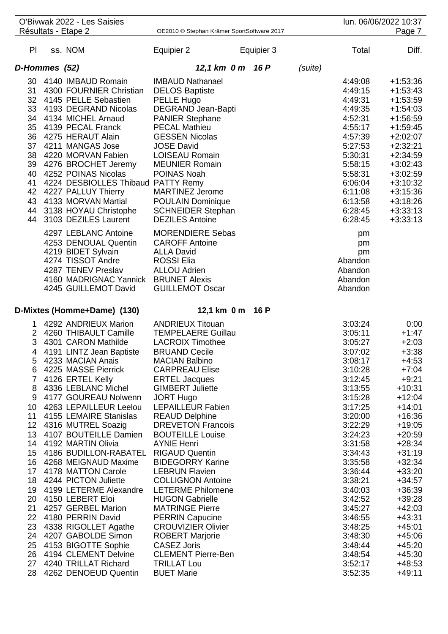|                                                                                                                                 | O'Bivwak 2022 - Les Saisies<br>Résultats - Etape 2                                                                                                                                                                                                                                                                                                                                                                                                                                                                                                                               | OE2010 © Stephan Krämer SportSoftware 2017                                                                                                                                                                                                                                                                                                                                                                                                                                                                                                                                                |            |         |                                                                                                                                                                                                                                                           | lun. 06/06/2022 10:37<br>Page 7                                                                                                                                                                                                                                        |
|---------------------------------------------------------------------------------------------------------------------------------|----------------------------------------------------------------------------------------------------------------------------------------------------------------------------------------------------------------------------------------------------------------------------------------------------------------------------------------------------------------------------------------------------------------------------------------------------------------------------------------------------------------------------------------------------------------------------------|-------------------------------------------------------------------------------------------------------------------------------------------------------------------------------------------------------------------------------------------------------------------------------------------------------------------------------------------------------------------------------------------------------------------------------------------------------------------------------------------------------------------------------------------------------------------------------------------|------------|---------|-----------------------------------------------------------------------------------------------------------------------------------------------------------------------------------------------------------------------------------------------------------|------------------------------------------------------------------------------------------------------------------------------------------------------------------------------------------------------------------------------------------------------------------------|
|                                                                                                                                 |                                                                                                                                                                                                                                                                                                                                                                                                                                                                                                                                                                                  |                                                                                                                                                                                                                                                                                                                                                                                                                                                                                                                                                                                           |            |         |                                                                                                                                                                                                                                                           |                                                                                                                                                                                                                                                                        |
| PI.                                                                                                                             | ss. NOM                                                                                                                                                                                                                                                                                                                                                                                                                                                                                                                                                                          | Equipier 2                                                                                                                                                                                                                                                                                                                                                                                                                                                                                                                                                                                | Equipier 3 |         | Total                                                                                                                                                                                                                                                     | Diff.                                                                                                                                                                                                                                                                  |
| D-Hommes (52)                                                                                                                   |                                                                                                                                                                                                                                                                                                                                                                                                                                                                                                                                                                                  | 12,1 km 0 m 16 P                                                                                                                                                                                                                                                                                                                                                                                                                                                                                                                                                                          |            | (suite) |                                                                                                                                                                                                                                                           |                                                                                                                                                                                                                                                                        |
| 31<br>32<br>33<br>34<br>35<br>36<br>37<br>38<br>40<br>41<br>44                                                                  | 30 4140 IMBAUD Romain<br>4300 FOURNIER Christian<br>4145 PELLE Sebastien<br>4193 DEGRAND Nicolas<br>4134 MICHEL Arnaud<br>4139 PECAL Franck<br>4275 HERAUT Alain<br>4211 MANGAS Jose<br>4220 MORVAN Fabien<br>39 4276 BROCHET Jeremy<br>4252 POINAS Nicolas<br>4224 DESBIOLLES Thibaud PATTY Remy<br>42 4227 PALLUY Thierry<br>43 4133 MORVAN Martial<br>44 3138 HOYAU Christophe<br>3103 DEZILES Laurent                                                                                                                                                                        | <b>IMBAUD Nathanael</b><br><b>DELOS Baptiste</b><br>PELLE Hugo<br>DEGRAND Jean-Bapti<br><b>PANIER Stephane</b><br><b>PECAL Mathieu</b><br><b>GESSEN Nicolas</b><br><b>JOSE David</b><br><b>LOISEAU Romain</b><br><b>MEUNIER Romain</b><br>POINAS Noah<br><b>MARTINEZ Jerome</b><br><b>POULAIN Dominique</b><br><b>SCHNEIDER Stephan</b><br><b>DEZILES Antoine</b>                                                                                                                                                                                                                         |            |         | 4:49:08<br>4:49:15<br>4:49:31<br>4:49:35<br>4:52:31<br>4:55:17<br>4:57:39<br>5:27:53<br>5:30:31<br>5:58:15<br>5:58:31<br>6:06:04<br>6:11:08<br>6:13:58<br>6:28:45<br>6:28:45                                                                              | $+1:53:36$<br>$+1:53:43$<br>$+1:53:59$<br>$+1:54:03$<br>$+1:56:59$<br>$+1:59:45$<br>$+2:02:07$<br>$+2:32:21$<br>$+2:34:59$<br>$+3:02:43$<br>$+3:02:59$<br>$+3:10:32$<br>$+3:15:36$<br>$+3:18:26$<br>$+3:33:13$<br>$+3:33:13$                                           |
|                                                                                                                                 | 4297 LEBLANC Antoine<br>4253 DENOUAL Quentin<br>4219 BIDET Sylvain<br>4274 TISSOT Andre<br>4287 TENEV Preslav<br>4160 MADRIGNAC Yannick BRUNET Alexis<br>4245 GUILLEMOT David                                                                                                                                                                                                                                                                                                                                                                                                    | <b>MORENDIERE Sebas</b><br><b>CAROFF Antoine</b><br><b>ALLA David</b><br><b>ROSSI Elia</b><br><b>ALLOU Adrien</b><br><b>GUILLEMOT Oscar</b>                                                                                                                                                                                                                                                                                                                                                                                                                                               |            |         | pm<br>pm<br>pm<br>Abandon<br>Abandon<br>Abandon<br>Abandon                                                                                                                                                                                                |                                                                                                                                                                                                                                                                        |
|                                                                                                                                 | D-Mixtes (Homme+Dame) (130)                                                                                                                                                                                                                                                                                                                                                                                                                                                                                                                                                      | 12,1 km 0 m 16 P                                                                                                                                                                                                                                                                                                                                                                                                                                                                                                                                                                          |            |         |                                                                                                                                                                                                                                                           |                                                                                                                                                                                                                                                                        |
| $\mathbf 1$<br>4<br>5<br>$\overline{7}$<br>8<br>9<br>10<br>11<br>12<br>13<br>14<br>15<br>16<br>17<br>19<br>20<br>21<br>22<br>23 | 4292 ANDRIEUX Marion<br>2 4260 THIBAULT Camille<br>3 4301 CARON Mathilde<br>4191 LINTZ Jean Baptiste<br>4233 MACIAN Anais<br>6 4225 MASSE Pierrick<br>4126 ERTEL Kelly<br>4336 LEBLANC Michel<br>4177 GOUREAU Nolwenn<br>4263 LEPAILLEUR Leelou<br>4155 LEMAIRE Stanislas<br>4316 MUTREL Soazig<br>4107 BOUTEILLE Damien<br>4192 MARTIN Olivia<br>4186 BUDILLON-RABATEL RIGAUD Quentin<br>4268 MEIGNAUD Maxime<br>4178 MATTON Carole<br>18 4244 PICTON Juliette<br>4199 LETERME Alexandre<br>4150 LEBERT Eloi<br>4257 GERBEL Marion<br>4180 PERRIN David<br>4338 RIGOLLET Agathe | <b>ANDRIEUX Titouan</b><br><b>TEMPELAERE Guillau</b><br><b>LACROIX Timothee</b><br><b>BRUAND Cecile</b><br><b>MACIAN Balbino</b><br><b>CARPREAU Elise</b><br><b>ERTEL Jacques</b><br><b>GIMBERT Juliette</b><br><b>JORT Hugo</b><br><b>LEPAILLEUR Fabien</b><br><b>REAUD Delphine</b><br><b>DREVETON Francois</b><br><b>BOUTEILLE Louise</b><br><b>AYNIE Henri</b><br><b>BIDEGORRY Karine</b><br><b>LEBRUN Flavien</b><br><b>COLLIGNON Antoine</b><br><b>LETERME Philomene</b><br><b>HUGON Gabrielle</b><br><b>MATRINGE Pierre</b><br><b>PERRIN Capucine</b><br><b>CROUVIZIER Olivier</b> |            |         | 3:03:24<br>3:05:11<br>3:05:27<br>3:07:02<br>3:08:17<br>3:10:28<br>3:12:45<br>3:13:55<br>3:15:28<br>3:17:25<br>3:20:00<br>3:22:29<br>3:24:23<br>3:31:58<br>3:34:43<br>3:35:58<br>3:36:44<br>3:38:21<br>3:40:03<br>3:42:52<br>3:45:27<br>3:46:55<br>3:48:25 | 0:00<br>$+1:47$<br>$+2:03$<br>$+3:38$<br>$+4:53$<br>$+7:04$<br>$+9:21$<br>$+10:31$<br>$+12:04$<br>$+14:01$<br>$+16:36$<br>$+19:05$<br>$+20:59$<br>$+28:34$<br>$+31:19$<br>$+32:34$<br>$+33:20$<br>$+34:57$<br>$+36:39$<br>$+39:28$<br>$+42:03$<br>$+43:31$<br>$+45:01$ |
| 24<br>25<br>28                                                                                                                  | 4207 GABOLDE Simon<br>4153 BIGOTTE Sophie<br>26 4194 CLEMENT Delvine<br>27 4240 TRILLAT Richard<br>4262 DENOEUD Quentin                                                                                                                                                                                                                                                                                                                                                                                                                                                          | <b>ROBERT Marjorie</b><br><b>CASEZ Joris</b><br><b>CLEMENT Pierre-Ben</b><br><b>TRILLAT Lou</b><br><b>BUET Marie</b>                                                                                                                                                                                                                                                                                                                                                                                                                                                                      |            |         | 3:48:30<br>3:48:44<br>3:48:54<br>3:52:17<br>3:52:35                                                                                                                                                                                                       | $+45:06$<br>$+45:20$<br>$+45:30$<br>$+48:53$<br>$+49:11$                                                                                                                                                                                                               |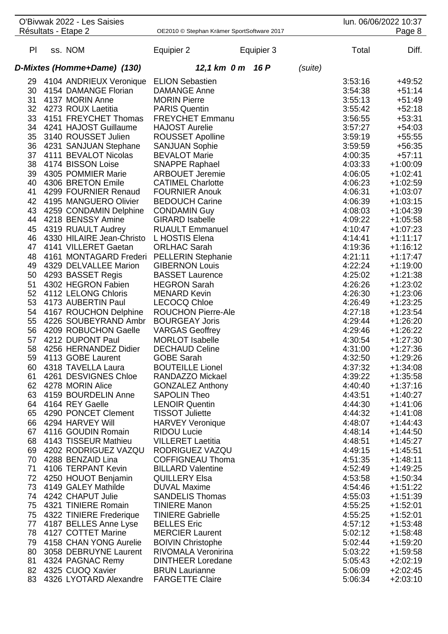|    | O'Bivwak 2022 - Les Saisies               |                                            |            |         |         | lun. 06/06/2022 10:37 |
|----|-------------------------------------------|--------------------------------------------|------------|---------|---------|-----------------------|
|    | Résultats - Etape 2                       | OE2010 © Stephan Krämer SportSoftware 2017 |            |         |         | Page 8                |
| PI | ss. NOM                                   | Equipier 2                                 | Equipier 3 |         | Total   | Diff.                 |
|    | D-Mixtes (Homme+Dame) (130)               | 12,1 km 0 m 16 P                           |            | (suite) |         |                       |
| 29 | 4104 ANDRIEUX Veronique                   | <b>ELION Sebastien</b>                     |            |         | 3:53:16 | $+49:52$              |
| 30 | 4154 DAMANGE Florian                      | <b>DAMANGE Anne</b>                        |            |         | 3:54:38 | $+51:14$              |
| 31 | 4137 MORIN Anne                           | <b>MORIN Pierre</b>                        |            |         | 3:55:13 | $+51:49$              |
| 32 | 4273 ROUX Laetitia                        | <b>PARIS Quentin</b>                       |            |         | 3:55:42 | $+52:18$              |
| 33 | 4151 FREYCHET Thomas                      | <b>FREYCHET Emmanu</b>                     |            |         | 3:56:55 | $+53:31$              |
| 34 | 4241 HAJOST Guillaume                     | <b>HAJOST Aurelie</b>                      |            |         | 3:57:27 | $+54:03$              |
| 35 | 3140 ROUSSET Julien                       | <b>ROUSSET Apolline</b>                    |            |         | 3:59:19 | $+55:55$              |
| 36 | 4231 SANJUAN Stephane                     | <b>SANJUAN Sophie</b>                      |            |         | 3:59:59 | $+56:35$              |
| 37 | 4111 BEVALOT Nicolas                      | <b>BEVALOT Marie</b>                       |            |         | 4:00:35 | $+57:11$              |
| 38 | 4174 BISSON Loise                         | <b>SNAPPE Raphael</b>                      |            |         | 4:03:33 | $+1:00:09$            |
|    | 4305 POMMIER Marie                        |                                            |            |         |         |                       |
| 39 |                                           | <b>ARBOUET Jeremie</b>                     |            |         | 4:06:05 | $+1:02:41$            |
| 40 | 4306 BRETON Emile                         | <b>CATIMEL Charlotte</b>                   |            |         | 4:06:23 | $+1:02:59$            |
| 41 | 4299 FOURNIER Renaud                      | <b>FOURNIER Anouk</b>                      |            |         | 4:06:31 | $+1:03:07$            |
| 42 | 4195 MANGUERO Olivier                     | <b>BEDOUCH Carine</b>                      |            |         | 4:06:39 | $+1:03:15$            |
| 43 | 4259 CONDAMIN Delphine                    | <b>CONDAMIN Guy</b>                        |            |         | 4:08:03 | $+1:04:39$            |
| 44 | 4218 BENSSY Amine                         | <b>GIRARD Isabelle</b>                     |            |         | 4:09:22 | $+1:05:58$            |
| 45 | 4319 RUAULT Audrey                        | <b>RUAULT Emmanuel</b>                     |            |         | 4:10:47 | $+1:07:23$            |
| 46 | 4330 HILAIRE Jean-Christo                 | L HOSTIS Elena                             |            |         | 4:14:41 | $+1:11:17$            |
| 47 | 4141 VILLERET Gaetan                      | <b>ORLHAC Sarah</b>                        |            |         | 4:19:36 | $+1:16:12$            |
| 48 | 4161 MONTAGARD Frederi PELLERIN Stephanie |                                            |            |         | 4:21:11 | $+1:17:47$            |
| 49 | 4329 DELVALLEE Marion                     | <b>GIBERNON Louis</b>                      |            |         | 4:22:24 | $+1:19:00$            |
| 50 | 4293 BASSET Regis                         | <b>BASSET Laurence</b>                     |            |         | 4:25:02 | $+1:21:38$            |
| 51 | 4302 HEGRON Fabien                        | <b>HEGRON Sarah</b>                        |            |         | 4:26:26 | $+1:23:02$            |
| 52 | 4112 LELONG Chloris                       | <b>MENARD Kevin</b>                        |            |         | 4:26:30 | $+1:23:06$            |
| 53 | 4173 AUBERTIN Paul                        | <b>LECOCQ Chloe</b>                        |            |         | 4:26:49 | $+1:23:25$            |
| 54 | 4167 ROUCHON Delphine                     | <b>ROUCHON Pierre-Ale</b>                  |            |         | 4:27:18 | $+1:23:54$            |
| 55 | 4226 SOUBEYRAND Ambr                      | <b>BOURGEAY Joris</b>                      |            |         | 4:29:44 | $+1:26:20$            |
| 56 | 4209 ROBUCHON Gaelle                      | <b>VARGAS Geoffrey</b>                     |            |         | 4:29:46 | $+1:26:22$            |
| 57 | 4212 DUPONT Paul                          | <b>MORLOT Isabelle</b>                     |            |         | 4:30:54 | $+1:27:30$            |
| 58 | 4256 HERNANDEZ Didier                     | <b>DECHAUD Celine</b>                      |            |         | 4:31:00 | $+1:27:36$            |
| 59 | 4113 GOBE Laurent                         | <b>GOBE Sarah</b>                          |            |         | 4:32:50 | $+1:29:26$            |
|    | 60 4318 TAVELLA Laura                     | <b>BOUTEILLE Lionel</b>                    |            |         | 4:37:32 | $+1:34:08$            |
|    | 61 4261 DESVIGNES Chloe                   | RANDAZZO Mickael                           |            |         | 4:39:22 | $+1:35:58$            |
|    | 62 4278 MORIN Alice                       | <b>GONZALEZ Anthony</b>                    |            |         | 4:40:40 | $+1:37:16$            |
| 63 | 4159 BOURDELIN Anne                       | <b>SAPOLIN Theo</b>                        |            |         | 4:43:51 | $+1:40:27$            |
| 64 | 4164 REY Gaelle                           | <b>LENOIR Quentin</b>                      |            |         | 4:44:30 | $+1:41:06$            |
| 65 | 4290 PONCET Clement                       | <b>TISSOT Juliette</b>                     |            |         | 4:44:32 | $+1:41:08$            |
| 66 | 4294 HARVEY Will                          | <b>HARVEY Veronique</b>                    |            |         | 4:48:07 | $+1:44:43$            |
|    | 67 4116 GOUDIN Romain                     | <b>RIDOU Lucie</b>                         |            |         | 4:48:14 | $+1:44:50$            |
| 68 | 4143 TISSEUR Mathieu                      | <b>VILLERET Laetitia</b>                   |            |         | 4:48:51 | $+1:45:27$            |
| 69 | 4202 RODRIGUEZ VAZQU                      | RODRIGUEZ VAZQU                            |            |         | 4:49:15 | $+1:45:51$            |
| 70 | 4288 BENZAID Lina                         | <b>COFFIGNEAU Thoma</b>                    |            |         | 4:51:35 | $+1:48:11$            |
| 71 | 4106 TERPANT Kevin                        | <b>BILLARD Valentine</b>                   |            |         | 4:52:49 | $+1:49:25$            |
| 72 | 4250 HOUOT Benjamin                       | <b>QUILLERY Elsa</b>                       |            |         | 4:53:58 | $+1:50:34$            |
| 73 | 4149 GALEY Mathilde                       | <b>DUVAL Maxime</b>                        |            |         | 4:54:46 | $+1:51:22$            |
| 74 | 4242 CHAPUT Julie                         | <b>SANDELIS Thomas</b>                     |            |         | 4:55:03 | $+1:51:39$            |
| 75 | 4321 TINIERE Romain                       | <b>TINIERE Manon</b>                       |            |         | 4:55:25 | $+1:52:01$            |
| 75 | 4322 TINIERE Frederique                   | <b>TINIERE Gabrielle</b>                   |            |         | 4:55:25 | $+1:52:01$            |
|    | 77 4187 BELLES Anne Lyse                  | <b>BELLES</b> Eric                         |            |         | 4:57:12 | $+1:53:48$            |
| 78 | 4127 COTTET Marine                        | <b>MERCIER Laurent</b>                     |            |         | 5:02:12 | $+1:58:48$            |
| 79 | 4158 CHAN YONG Aurelie                    | <b>BOIVIN Christophe</b>                   |            |         | 5:02:44 | $+1:59:20$            |
| 80 | 3058 DEBRUYNE Laurent                     | RIVOMALA Veronirina                        |            |         | 5:03:22 | $+1:59:58$            |
| 81 | 4324 PAGNAC Remy                          | <b>DINTHEER Loredane</b>                   |            |         | 5:05:43 | $+2:02:19$            |
|    | 82 4325 CUOQ Xavier                       | <b>BRUN Laurianne</b>                      |            |         | 5:06:09 | $+2:02:45$            |
| 83 | 4326 LYOTARD Alexandre                    | <b>FARGETTE Claire</b>                     |            |         | 5:06:34 | $+2:03:10$            |
|    |                                           |                                            |            |         |         |                       |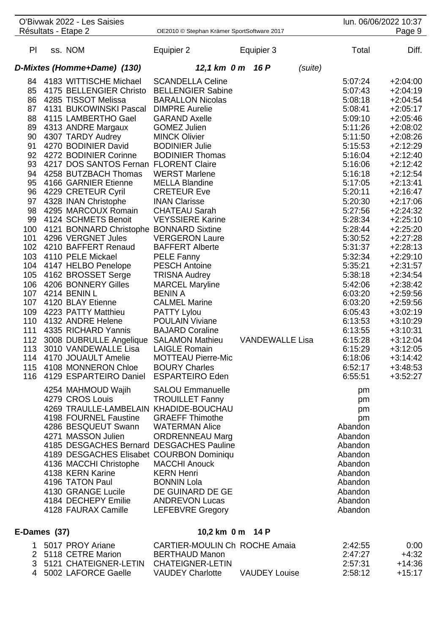|                                                                                                                                                      | O'Bivwak 2022 - Les Saisies                                                                                                                                                                                                                                                                                                                                                                                                                                                                                                                                                                                                                                                                                                                                                                                                                                                                                                                                                                                                                                                                                                                                                                                                                      |                                                                                                                                                                                                                                                                                                                                                                                                                                                                                                                                                                                                                                                                                                                                                                                                                                                                                                                                                                                                                    |                        |         |                                                                                                                                                                                                                                                                                                                                                                                                                                                                                                    | lun. 06/06/2022 10:37                                                                                                                                                                                                                                                                                                                                                                                                                                                      |
|------------------------------------------------------------------------------------------------------------------------------------------------------|--------------------------------------------------------------------------------------------------------------------------------------------------------------------------------------------------------------------------------------------------------------------------------------------------------------------------------------------------------------------------------------------------------------------------------------------------------------------------------------------------------------------------------------------------------------------------------------------------------------------------------------------------------------------------------------------------------------------------------------------------------------------------------------------------------------------------------------------------------------------------------------------------------------------------------------------------------------------------------------------------------------------------------------------------------------------------------------------------------------------------------------------------------------------------------------------------------------------------------------------------|--------------------------------------------------------------------------------------------------------------------------------------------------------------------------------------------------------------------------------------------------------------------------------------------------------------------------------------------------------------------------------------------------------------------------------------------------------------------------------------------------------------------------------------------------------------------------------------------------------------------------------------------------------------------------------------------------------------------------------------------------------------------------------------------------------------------------------------------------------------------------------------------------------------------------------------------------------------------------------------------------------------------|------------------------|---------|----------------------------------------------------------------------------------------------------------------------------------------------------------------------------------------------------------------------------------------------------------------------------------------------------------------------------------------------------------------------------------------------------------------------------------------------------------------------------------------------------|----------------------------------------------------------------------------------------------------------------------------------------------------------------------------------------------------------------------------------------------------------------------------------------------------------------------------------------------------------------------------------------------------------------------------------------------------------------------------|
|                                                                                                                                                      | Résultats - Etape 2                                                                                                                                                                                                                                                                                                                                                                                                                                                                                                                                                                                                                                                                                                                                                                                                                                                                                                                                                                                                                                                                                                                                                                                                                              | OE2010 © Stephan Krämer SportSoftware 2017                                                                                                                                                                                                                                                                                                                                                                                                                                                                                                                                                                                                                                                                                                                                                                                                                                                                                                                                                                         |                        |         |                                                                                                                                                                                                                                                                                                                                                                                                                                                                                                    | Page 9                                                                                                                                                                                                                                                                                                                                                                                                                                                                     |
| PI                                                                                                                                                   | ss. NOM                                                                                                                                                                                                                                                                                                                                                                                                                                                                                                                                                                                                                                                                                                                                                                                                                                                                                                                                                                                                                                                                                                                                                                                                                                          | Equipier 2                                                                                                                                                                                                                                                                                                                                                                                                                                                                                                                                                                                                                                                                                                                                                                                                                                                                                                                                                                                                         | Equipier 3             |         | Total                                                                                                                                                                                                                                                                                                                                                                                                                                                                                              | Diff.                                                                                                                                                                                                                                                                                                                                                                                                                                                                      |
|                                                                                                                                                      | D-Mixtes (Homme+Dame) (130)                                                                                                                                                                                                                                                                                                                                                                                                                                                                                                                                                                                                                                                                                                                                                                                                                                                                                                                                                                                                                                                                                                                                                                                                                      | 12,1 km 0 m                                                                                                                                                                                                                                                                                                                                                                                                                                                                                                                                                                                                                                                                                                                                                                                                                                                                                                                                                                                                        | 16 P                   | (suite) |                                                                                                                                                                                                                                                                                                                                                                                                                                                                                                    |                                                                                                                                                                                                                                                                                                                                                                                                                                                                            |
| 84<br>85<br>86<br>87<br>88<br>89<br>90<br>91<br>92<br>93<br>94<br>95<br>96<br>97<br>98<br>99<br>100<br>101<br>103<br>106<br>109<br>111<br>112<br>113 | 4183 WITTISCHE Michael<br>4175 BELLENGIER Christo<br>4285 TISSOT Melissa<br>4131 BUKOWINSKI Pascal<br>4115 LAMBERTHO Gael<br>4313 ANDRE Margaux<br>4307 TARDY Audrey<br>4270 BODINIER David<br>4272 BODINIER Corinne<br>4217 DOS SANTOS Fernan FLORENT Claire<br>4258 BUTZBACH Thomas<br>4166 GARNIER Etienne<br>4229 CRETEUR Cyril<br>4328 INAN Christophe<br>4295 MARCOUX Romain<br>4124 SCHMETS Benoit<br>4121 BONNARD Christophe BONNARD Sixtine<br>4296 VERGNET Jules<br>102 4210 BAFFERT Renaud<br>4110 PELE Mickael<br>104 4147 HELBO Penelope<br>105 4162 BROSSET Serge<br>4206 BONNERY Gilles<br>107 4214 BENIN L<br>107 4120 BLAY Etienne<br>4223 PATTY Matthieu<br>110 4132 ANDRE Helene<br>4335 RICHARD Yannis<br>3008 DUBRULLE Angelique SALAMON Mathieu<br>3010 VANDEWALLE Lisa<br>114 4170 JOUAULT Amelie<br>115 4108 MONNERON Chloe<br>116 4129 ESPARTEIRO Daniel<br>4254 MAHMOUD Wajih<br>4279 CROS Louis<br>4269 TRAULLE-LAMBELAIN KHADIDE-BOUCHAU<br>4198 FOURNEL Faustine<br>4286 BESQUEUT Swann<br>4271 MASSON Julien<br>4185 DESGACHES Bernard DESGACHES Pauline<br>4189 DESGACHES Elisabet COURBON Dominiqu<br>4136 MACCHI Christophe<br>4138 KERN Karine<br>4196 TATON Paul<br>4130 GRANGE Lucile<br>4184 DECHEPY Emilie | <b>SCANDELLA Celine</b><br><b>BELLENGIER Sabine</b><br><b>BARALLON Nicolas</b><br><b>DIMPRE Aurelie</b><br><b>GARAND Axelle</b><br><b>GOMEZ Julien</b><br><b>MINCK Olivier</b><br><b>BODINIER Julie</b><br><b>BODINIER Thomas</b><br><b>WERST Marlene</b><br><b>MELLA Blandine</b><br><b>CRETEUR Eve</b><br><b>INAN Clarisse</b><br><b>CHATEAU Sarah</b><br><b>VEYSSIERE Karine</b><br><b>VERGERON Laure</b><br><b>BAFFERT Alberte</b><br><b>PELE Fanny</b><br><b>PESCH Antoine</b><br><b>TRISNA Audrey</b><br><b>MARCEL Maryline</b><br><b>BENIN A</b><br><b>CALMEL Marine</b><br><b>PATTY Lylou</b><br><b>POULAIN Viviane</b><br><b>BAJARD Coraline</b><br><b>LAIGLE Romain</b><br><b>MOTTEAU Pierre-Mic</b><br><b>BOURY Charles</b><br><b>ESPARTEIRO Eden</b><br><b>SALOU Emmanuelle</b><br><b>TROUILLET Fanny</b><br><b>GRAEFF Thimothe</b><br><b>WATERMAN Alice</b><br><b>ORDRENNEAU Marg</b><br><b>MACCHI Anouck</b><br><b>KERN Henri</b><br><b>BONNIN Lola</b><br>DE GUINARD DE GE<br><b>ANDREVON Lucas</b> | <b>VANDEWALLE Lisa</b> |         | 5:07:24<br>5:07:43<br>5:08:18<br>5:08:41<br>5:09:10<br>5:11:26<br>5:11:50<br>5:15:53<br>5:16:04<br>5:16:06<br>5:16:18<br>5:17:05<br>5:20:11<br>5:20:30<br>5:27:56<br>5:28:34<br>5:28:44<br>5:30:52<br>5:31:37<br>5:32:34<br>5:35:21<br>5:38:18<br>5:42:06<br>6:03:20<br>6:03:20<br>6:05:43<br>6:13:53<br>6:13:55<br>6:15:28<br>6:15:29<br>6:18:06<br>6:52:17<br>6:55:51<br>pm<br>pm<br>pm<br>pm<br>Abandon<br>Abandon<br>Abandon<br>Abandon<br>Abandon<br>Abandon<br>Abandon<br>Abandon<br>Abandon | $+2:04:00$<br>$+2:04:19$<br>$+2:04:54$<br>$+2:05:17$<br>$+2:05:46$<br>$+2:08:02$<br>$+2:08:26$<br>$+2:12:29$<br>$+2:12:40$<br>$+2:12:42$<br>$+2:12:54$<br>$+2:13:41$<br>$+2:16:47$<br>$+2:17:06$<br>$+2:24:32$<br>$+2:25:10$<br>$+2:25:20$<br>$+2:27:28$<br>$+2:28:13$<br>$+2:29:10$<br>$+2:31:57$<br>$+2:34:54$<br>$+2:38:42$<br>$+2:59:56$<br>$+2:59:56$<br>$+3:02:19$<br>$+3:10:29$<br>$+3:10:31$<br>$+3:12:04$<br>$+3:12:05$<br>$+3:14:42$<br>$+3:48:53$<br>$+3:52:27$ |
|                                                                                                                                                      | 4128 FAURAX Camille                                                                                                                                                                                                                                                                                                                                                                                                                                                                                                                                                                                                                                                                                                                                                                                                                                                                                                                                                                                                                                                                                                                                                                                                                              | <b>LEFEBVRE Gregory</b>                                                                                                                                                                                                                                                                                                                                                                                                                                                                                                                                                                                                                                                                                                                                                                                                                                                                                                                                                                                            |                        |         | Abandon                                                                                                                                                                                                                                                                                                                                                                                                                                                                                            |                                                                                                                                                                                                                                                                                                                                                                                                                                                                            |
| E-Dames (37)                                                                                                                                         |                                                                                                                                                                                                                                                                                                                                                                                                                                                                                                                                                                                                                                                                                                                                                                                                                                                                                                                                                                                                                                                                                                                                                                                                                                                  | 10,2 km 0 m 14 P                                                                                                                                                                                                                                                                                                                                                                                                                                                                                                                                                                                                                                                                                                                                                                                                                                                                                                                                                                                                   |                        |         |                                                                                                                                                                                                                                                                                                                                                                                                                                                                                                    |                                                                                                                                                                                                                                                                                                                                                                                                                                                                            |
|                                                                                                                                                      | $EOMZ$ DDOV Ariona                                                                                                                                                                                                                                                                                                                                                                                                                                                                                                                                                                                                                                                                                                                                                                                                                                                                                                                                                                                                                                                                                                                                                                                                                               | CARTIER MOULIN CH. BOCHE Amois                                                                                                                                                                                                                                                                                                                                                                                                                                                                                                                                                                                                                                                                                                                                                                                                                                                                                                                                                                                     |                        |         | 0.10.EE                                                                                                                                                                                                                                                                                                                                                                                                                                                                                            | 0.00                                                                                                                                                                                                                                                                                                                                                                                                                                                                       |

| 5017 PROY Ariane                         | CARTIER-MOULIN Ch ROCHE Amaia |               | 2:42:55 | 0:00     |
|------------------------------------------|-------------------------------|---------------|---------|----------|
| 2 5118 CETRE Marion                      | BERTHAUD Manon                |               | 2.47.27 | $+4.32$  |
| 3 5121 CHATFIGNER-LETIN CHATFIGNER-LETIN |                               |               | 2.57.31 | +14:36   |
| 4 5002 LAFORCE Gaelle                    | VAUDEY Charlotte              | VAUDEY Louise | 2.58.12 | $+15.17$ |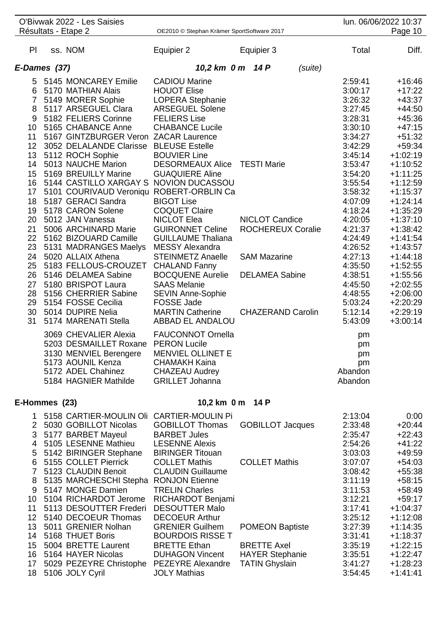|                | O'Bivwak 2022 - Les Saisies<br>Résultats - Etape 2                     | OE2010 © Stephan Krämer SportSoftware 2017   |                          |         |                    | lun. 06/06/2022 10:37<br>Page 10 |
|----------------|------------------------------------------------------------------------|----------------------------------------------|--------------------------|---------|--------------------|----------------------------------|
|                |                                                                        |                                              |                          |         |                    |                                  |
| PI             | ss. NOM                                                                | Equipier 2                                   | Equipier 3               |         | Total              | Diff.                            |
| E-Dames (37)   |                                                                        | 10,2 km 0 m 14 P                             |                          | (suite) |                    |                                  |
|                | 5 5145 MONCAREY Emilie                                                 | <b>CADIOU Marine</b>                         |                          |         | 2:59:41            | $+16:46$                         |
| 6              | 5170 MATHIAN Alais                                                     | <b>HOUOT Elise</b>                           |                          |         | 3:00:17            | $+17:22$                         |
| $\overline{7}$ | 5149 MORER Sophie                                                      | <b>LOPERA Stephanie</b>                      |                          |         | 3:26:32            | $+43:37$                         |
| 8              | 5117 ARSEGUEL Clara                                                    | <b>ARSEGUEL Solene</b>                       |                          |         | 3:27:45            | $+44:50$                         |
| 9              | 5182 FELIERS Corinne                                                   | <b>FELIERS Lise</b>                          |                          |         | 3:28:31            | $+45:36$                         |
| 10             | 5165 CHABANCE Anne                                                     | <b>CHABANCE Lucile</b>                       |                          |         | 3:30:10            | $+47:15$                         |
| 11             | 5167 GINTZBURGER Veron ZACAR Laurence                                  |                                              |                          |         | 3:34:27            | $+51:32$                         |
| 12             | 3052 DELALANDE Clarisse                                                | <b>BLEUSE Estelle</b>                        |                          |         | 3:42:29            | $+59:34$                         |
| 13             | 5112 ROCH Sophie                                                       | <b>BOUVIER Line</b>                          |                          |         | 3:45:14            | $+1:02:19$                       |
| 14             | 5013 NAUCHE Marion                                                     | <b>DESORMEAUX Alice</b>                      | <b>TESTI Marie</b>       |         | 3:53:47            | $+1:10:52$                       |
| 15             | 5169 BREUILLY Marine                                                   | <b>GUAQUIERE Aline</b>                       |                          |         | 3:54:20            | $+1:11:25$                       |
| 16             | 5144 CASTILLO XARGAY S NOVION DUCASSOU                                 |                                              |                          |         | 3:55:54            | $+1:12:59$                       |
| 17             | 5101 COURIVAUD Veroniqu ROBERT-ORBLIN Ca                               |                                              |                          |         | 3:58:32            | $+1:15:37$                       |
| 18             | 5187 GERACI Sandra                                                     | <b>BIGOT Lise</b>                            |                          |         | 4:07:09            | $+1:24:14$                       |
| 19             | 5178 CARON Solene                                                      | <b>COQUET Claire</b>                         |                          |         | 4:18:24            | $+1:35:29$                       |
| 20             | 5012 JAN Vanessa                                                       | <b>NICLOT Elea</b>                           | <b>NICLOT Candice</b>    |         | 4:20:05            | $+1:37:10$                       |
| 21             | 5006 ARCHINARD Marie                                                   | <b>GUIRONNET Celine</b>                      | <b>ROCHEREUX Coralie</b> |         | 4:21:37            | $+1:38:42$                       |
| 22             | 5162 BIZOUARD Camille                                                  | <b>GUILLAUME Thaliana</b>                    |                          |         | 4:24:49            | $+1:41:54$                       |
| 23             | 5131 MADRANGES Maelys                                                  | <b>MESSY Alexandra</b>                       |                          |         | 4:26:52            | $+1:43:57$                       |
| 24             | 5020 ALLAIX Athena                                                     | <b>STEINMETZ Anaelle</b>                     | <b>SAM Mazarine</b>      |         | 4:27:13            | $+1:44:18$                       |
| 25             | 5183 FELLOUS-CROUZET                                                   | <b>CHALAND Fanny</b>                         |                          |         | 4:35:50            | $+1:52:55$                       |
| 26             | 5146 DELAMEA Sabine                                                    | <b>BOCQUENE Aurelie</b>                      | <b>DELAMEA Sabine</b>    |         | 4:38:51            | $+1:55:56$                       |
| 27             | 5180 BRISPOT Laura                                                     | <b>SAAS Melanie</b>                          |                          |         | 4:45:50            | $+2:02:55$                       |
| 28             | 5156 CHERRIER Sabine                                                   | <b>SEVIN Anne-Sophie</b>                     |                          |         | 4:48:55            | $+2:06:00$                       |
| 29             | 5154 FOSSE Cecilia                                                     | <b>FOSSE Jade</b>                            |                          |         | 5:03:24            | $+2:20:29$                       |
| 30             | 5014 DUPIRE Nelia                                                      | <b>MARTIN Catherine</b>                      | <b>CHAZERAND Carolin</b> |         | 5:12:14            | $+2:29:19$                       |
| 31             | 5174 MARENATI Stella                                                   | ABBAD EL ANDALOU                             |                          |         | 5:43:09            | $+3:00:14$                       |
|                | 3069 CHEVALIER Alexia                                                  | <b>FAUCONNOT Ornella</b>                     |                          |         | pm                 |                                  |
|                | 5203 DESMAILLET Roxane                                                 | <b>PERON Lucile</b>                          |                          |         | pm                 |                                  |
|                | 3130 MENVIEL Berengere                                                 | <b>MENVIEL OLLINET E</b>                     |                          |         | pm                 |                                  |
|                | 5173 AOUNIL Kenza                                                      | <b>CHAMAKH Kaina</b>                         |                          |         | pm                 |                                  |
|                | 5172 ADEL Chahinez                                                     | <b>CHAZEAU Audrey</b>                        |                          |         | Abandon            |                                  |
|                | 5184 HAGNIER Mathilde                                                  | <b>GRILLET Johanna</b>                       |                          |         | Abandon            |                                  |
| E-Hommes (23)  |                                                                        | 10,2 km 0 m 14 P                             |                          |         |                    |                                  |
|                |                                                                        |                                              |                          |         |                    |                                  |
|                | 1 5158 CARTIER-MOULIN OII CARTIER-MOULIN PI<br>2 5030 GOBILLOT Nicolas | <b>GOBILLOT Thomas</b>                       |                          |         | 2:13:04<br>2:33:48 | 0:00<br>$+20:44$                 |
|                |                                                                        |                                              | <b>GOBILLOT Jacques</b>  |         |                    |                                  |
| 3              | 5177 BARBET Mayeul<br>5105 LESENNE Mathieu                             | <b>BARBET Jules</b><br><b>LESENNE Alexis</b> |                          |         | 2:35:47<br>2:54:26 | $+22:43$<br>$+41:22$             |
| 4<br>5         | 5142 BIRINGER Stephane                                                 | <b>BIRINGER Titouan</b>                      |                          |         | 3:03:03            | $+49:59$                         |
| 6              | 5155 COLLET Pierrick                                                   | <b>COLLET Mathis</b>                         | <b>COLLET Mathis</b>     |         | 3:07:07            | $+54:03$                         |
| $\overline{7}$ | 5123 CLAUDIN Benoit                                                    | <b>CLAUDIN Guillaume</b>                     |                          |         | 3:08:42            | $+55:38$                         |
| 8              | 5135 MARCHESCHI Stepha RONJON Etienne                                  |                                              |                          |         | 3:11:19            | $+58:15$                         |
| 9              | 5147 MONGE Damien                                                      | <b>TRELIN Charles</b>                        |                          |         | 3:11:53            | $+58:49$                         |
| 10             | 5104 RICHARDOT Jerome                                                  |                                              |                          |         | 3:12:21            | $+59:17$                         |
| 11             | 5113 DESOUTTER Frederi                                                 | RICHARDOT Benjami<br><b>DESOUTTER Malo</b>   |                          |         | 3:17:41            | +1:04:37                         |
|                | 12 5140 DECOEUR Thomas                                                 | <b>DECOEUR Arthur</b>                        |                          |         | 3:25:12            | $+1:12:08$                       |
|                | 13 5011 GRENIER Nolhan                                                 | <b>GRENIER Guilhem</b>                       | <b>POMEON Baptiste</b>   |         | 3:27:39            | $+1:14:35$                       |
|                | 14 5168 THUET Boris                                                    | <b>BOURDOIS RISSE T</b>                      |                          |         | 3:31:41            | $+1:18:37$                       |
|                | 15 5004 BRETTE Laurent                                                 | <b>BRETTE Ethan</b>                          | <b>BRETTE Axel</b>       |         | 3:35:19            | $+1:22:15$                       |
|                | 16 5164 HAYER Nicolas                                                  | <b>DUHAGON Vincent</b>                       | <b>HAYER Stephanie</b>   |         | 3:35:51            | $+1:22:47$                       |
|                | 17 5029 PEZEYRE Christophe PEZEYRE Alexandre                           |                                              | <b>TATIN Ghyslain</b>    |         | 3:41:27            | $+1:28:23$                       |
| 18             | 5106 JOLY Cyril                                                        | <b>JOLY Mathias</b>                          |                          |         | 3:54:45            | $+1:41:41$                       |
|                |                                                                        |                                              |                          |         |                    |                                  |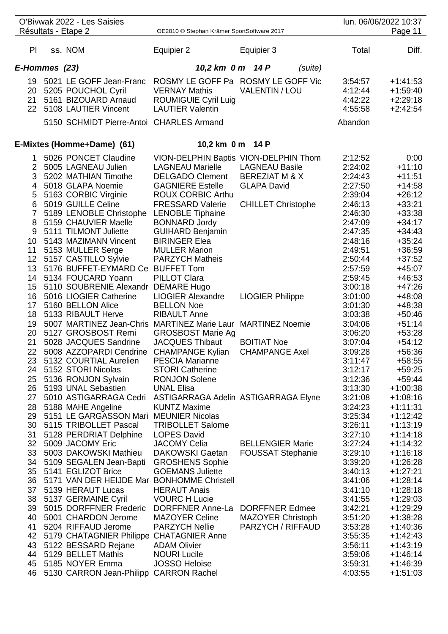| O'Bivwak 2022 - Les Saisies<br>Résultats - Etape 2 |  |                                                              |                                                    |                           | lun. 06/06/2022 10:37<br>Page 11 |                      |  |
|----------------------------------------------------|--|--------------------------------------------------------------|----------------------------------------------------|---------------------------|----------------------------------|----------------------|--|
|                                                    |  |                                                              | OE2010 © Stephan Krämer SportSoftware 2017         |                           |                                  |                      |  |
| PI                                                 |  | ss. NOM                                                      | Equipier 2                                         | Equipier 3                | Total                            | Diff.                |  |
| E-Hommes (23)                                      |  |                                                              | 10,2 km 0 m 14 P                                   | (suite)                   |                                  |                      |  |
| 19                                                 |  | 5021 LE GOFF Jean-Franc                                      | ROSMY LE GOFF Pa ROSMY LE GOFF Vic                 |                           | 3:54:57                          | $+1:41:53$           |  |
|                                                    |  | 20 5205 POUCHOL Cyril                                        | <b>VERNAY Mathis</b>                               | <b>VALENTIN / LOU</b>     | 4:12:44                          | $+1:59:40$           |  |
| 21                                                 |  | 5161 BIZOUARD Arnaud                                         | <b>ROUMIGUIE Cyril Luig</b>                        |                           | 4:42:22                          | $+2:29:18$           |  |
|                                                    |  | 22 5108 LAUTIER Vincent                                      | <b>LAUTIER Valentin</b>                            |                           | 4:55:58                          | $+2:42:54$           |  |
|                                                    |  | 5150 SCHMIDT Pierre-Antoi CHARLES Armand                     |                                                    |                           | Abandon                          |                      |  |
|                                                    |  | E-Mixtes (Homme+Dame) (61)                                   | 10,2 km 0 m 14 P                                   |                           |                                  |                      |  |
| 1                                                  |  | 5026 PONCET Claudine                                         | VION-DELPHIN Baptis VION-DELPHIN Thom              |                           | 2:12:52                          | 0:00                 |  |
| $\overline{2}$                                     |  | 5005 LAGNEAU Julien                                          | <b>LAGNEAU Marielle</b>                            | <b>LAGNEAU Basile</b>     | 2:24:02                          | $+11:10$             |  |
| 3                                                  |  | 5202 MATHIAN Timothe                                         | <b>DELGADO Clement</b>                             | <b>BEREZIAT M &amp; X</b> | 2:24:43                          | $+11:51$             |  |
| 4                                                  |  | 5018 GLAPA Noemie                                            | <b>GAGNIERE Estelle</b>                            | <b>GLAPA David</b>        | 2:27:50                          | $+14:58$             |  |
| 5                                                  |  | 5163 CORBIC Virginie                                         | <b>ROUX CORBIC Arthu</b>                           |                           | 2:39:04                          | $+26:12$             |  |
| 6                                                  |  | 5019 GUILLE Celine                                           | <b>FRESSARD Valerie</b>                            | <b>CHILLET Christophe</b> | 2:46:13                          | $+33:21$             |  |
| $\overline{7}$                                     |  | 5189 LENOBLE Christophe LENOBLE Tiphaine                     |                                                    |                           | 2:46:30                          | $+33:38$             |  |
| 8                                                  |  | 5159 CHAUVIER Maelle                                         | <b>BONNARD Jordy</b>                               |                           | 2:47:09                          | $+34:17$             |  |
| 9                                                  |  | 5111 TILMONT Juliette                                        | <b>GUIHARD Benjamin</b>                            |                           | 2:47:35                          | $+34:43$             |  |
|                                                    |  | 10 5143 MAZIMANN Vincent                                     | <b>BIRINGER Elea</b>                               |                           | 2:48:16                          | $+35:24$             |  |
| 11                                                 |  | 5153 MULLER Serge                                            | <b>MULLER Marion</b>                               |                           | 2:49:51                          | $+36:59$             |  |
|                                                    |  | 12 5157 CASTILLO Sylvie                                      | <b>PARZYCH Matheis</b>                             |                           | 2:50:44                          | $+37:52$             |  |
| 13                                                 |  | 5176 BUFFET-EYMARD Ce BUFFET Tom                             |                                                    |                           | 2:57:59                          | $+45:07$             |  |
|                                                    |  | 14 5134 FOUCARD Yoann                                        | <b>PILLOT Clara</b>                                |                           | 2:59:45                          | $+46:53$             |  |
|                                                    |  | 15 5110 SOUBRENIE Alexandr DEMARE Hugo                       |                                                    |                           | 3:00:18                          | $+47:26$             |  |
| 16                                                 |  | 5016 LIOGIER Catherine                                       | <b>LIOGIER Alexandre</b>                           | <b>LIOGIER Philippe</b>   | 3:01:00                          | $+48:08$             |  |
|                                                    |  | 17 5160 BELLON Alice                                         | <b>BELLON Noe</b>                                  |                           | 3:01:30                          | $+48:38$             |  |
| 18                                                 |  | 5133 RIBAULT Herve                                           | <b>RIBAULT Anne</b>                                |                           | 3:03:38                          | $+50:46$             |  |
| 19<br>20                                           |  | 5007 MARTINEZ Jean-Chris MARTINEZ Marie Laur MARTINEZ Noemie |                                                    |                           | 3:04:06                          | $+51:14$<br>$+53:28$ |  |
| 21                                                 |  | 5127 GROSBOST Remi<br>5028 JACQUES Sandrine                  | <b>GROSBOST Marie Ag</b><br><b>JACQUES Thibaut</b> | <b>BOITIAT Noe</b>        | 3:06:20<br>3:07:04               | $+54:12$             |  |
| 22                                                 |  | 5008 AZZOPARDI Cendrine CHAMPANGE Kylian                     |                                                    | <b>CHAMPANGE Axel</b>     | 3:09:28                          | $+56:36$             |  |
| 23                                                 |  | 5132 COURTIAL Aurelien                                       | <b>PESCIA Marianne</b>                             |                           | 3:11:47                          | $+58:55$             |  |
|                                                    |  | 24 5152 STORI Nicolas                                        | <b>STORI Catherine</b>                             |                           | 3:12:17                          | $+59:25$             |  |
| 25                                                 |  | 5136 RONJON Sylvain                                          | <b>RONJON Solene</b>                               |                           | 3:12:36                          | $+59:44$             |  |
| 26                                                 |  | 5193 UNAL Sebastien                                          | <b>UNAL Elisa</b>                                  |                           | 3:13:30                          | $+1:00:38$           |  |
| 27                                                 |  | 5010 ASTIGARRAGA Cedri ASTIGARRAGA Adelin ASTIGARRAGA Elyne  |                                                    |                           | 3:21:08                          | $+1:08:16$           |  |
| 28                                                 |  | 5188 MAHE Angeline                                           | <b>KUNTZ Maxime</b>                                |                           | 3:24:23                          | $+1:11:31$           |  |
| 29                                                 |  | 5151 LE GARGASSON Mari MEUNIER Nicolas                       |                                                    |                           | 3:25:34                          | $+1:12:42$           |  |
| 30                                                 |  | 5115 TRIBOLLET Pascal                                        | <b>TRIBOLLET Salome</b>                            |                           | 3:26:11                          | $+1:13:19$           |  |
| 31                                                 |  | 5128 PERDRIAT Delphine                                       | <b>LOPES David</b>                                 |                           | 3:27:10                          | $+1:14:18$           |  |
| 32                                                 |  | 5009 JACOMY Eric                                             | <b>JACOMY Celia</b>                                | <b>BELLENGIER Marie</b>   | 3:27:24                          | $+1:14:32$           |  |
| 33                                                 |  | 5003 DAKOWSKI Mathieu                                        | <b>DAKOWSKI Gaetan</b>                             | <b>FOUSSAT Stephanie</b>  | 3:29:10                          | $+1:16:18$           |  |
| 34                                                 |  | 5109 SEGALEN Jean-Bapti                                      | <b>GROSHENS Sophie</b>                             |                           | 3:39:20                          | $+1:26:28$           |  |
| 35                                                 |  | 5141 EGLIZOT Brice                                           | <b>GOEMANS Juliette</b>                            |                           | 3:40:13                          | $+1:27:21$           |  |
| 36                                                 |  | 5171 VAN DER HEIJDE Mar BONHOMME Christell                   |                                                    |                           | 3:41:06                          | $+1:28:14$           |  |
| 37                                                 |  | 5139 HERAUT Lucas                                            | <b>HERAUT Anais</b>                                |                           | 3:41:10                          | $+1:28:18$           |  |
|                                                    |  | 38 5137 GERMAINE Cyril                                       | <b>VOURC H Lucie</b>                               |                           | 3:41:55                          | $+1:29:03$           |  |
|                                                    |  | 39 5015 DORFFNER Frederic DORFFNER Anne-La                   |                                                    | <b>DORFFNER Edmee</b>     | 3:42:21                          | $+1:29:29$           |  |
| 40                                                 |  | 5001 CHARDON Jerome                                          | <b>MAZOYER Celine</b>                              | <b>MAZOYER Christoph</b>  | 3:51:20                          | $+1:38:28$           |  |
| 41                                                 |  | 5204 RIFFAUD Jerome                                          | <b>PARZYCH Nellie</b>                              | PARZYCH / RIFFAUD         | 3:53:28                          | $+1:40:36$           |  |
|                                                    |  | 42 5179 CHATAGNIER Philippe CHATAGNIER Anne                  |                                                    |                           | 3:55:35                          | $+1:42:43$           |  |
| 43                                                 |  | 5122 BESSARD Rejane                                          | <b>ADAM Olivier</b>                                |                           | 3:56:11                          | $+1:43:19$           |  |
| 44                                                 |  | 5129 BELLET Mathis                                           | <b>NOURI Lucile</b>                                |                           | 3:59:06                          | $+1:46:14$           |  |
| 45                                                 |  | 5185 NOYER Emma                                              | <b>JOSSO Heloise</b>                               |                           | 3:59:31                          | $+1:46:39$           |  |
| 46                                                 |  | 5130 CARRON Jean-Philipp CARRON Rachel                       |                                                    |                           | 4:03:55                          | $+1:51:03$           |  |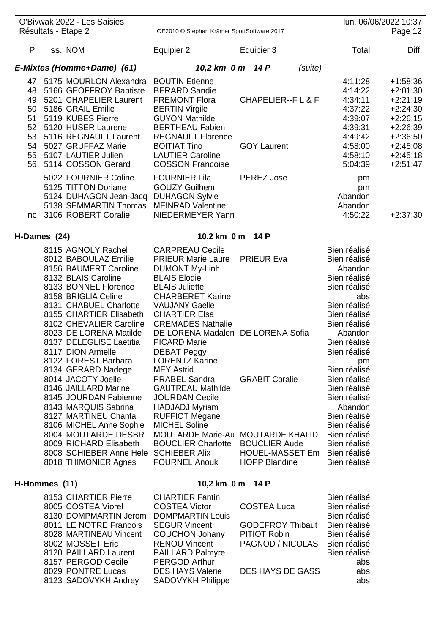| O'Bivwak 2022 - Les Saisies                                                                                                                                                                                                                                                                        |                                                                                                                                                                                                                                                            | lun. 06/06/2022 10:37                      |                                                                                                            |                                                                                                                                          |  |
|----------------------------------------------------------------------------------------------------------------------------------------------------------------------------------------------------------------------------------------------------------------------------------------------------|------------------------------------------------------------------------------------------------------------------------------------------------------------------------------------------------------------------------------------------------------------|--------------------------------------------|------------------------------------------------------------------------------------------------------------|------------------------------------------------------------------------------------------------------------------------------------------|--|
| Résultats - Etape 2                                                                                                                                                                                                                                                                                |                                                                                                                                                                                                                                                            | OE2010 © Stephan Krämer SportSoftware 2017 |                                                                                                            | Page 12                                                                                                                                  |  |
| ss. NOM<br>PI                                                                                                                                                                                                                                                                                      | Equipier 2                                                                                                                                                                                                                                                 | Equipier 3                                 | Total                                                                                                      | Diff.                                                                                                                                    |  |
| E-Mixtes (Homme+Dame) (61)                                                                                                                                                                                                                                                                         | 10,2 km 0 m 14 P                                                                                                                                                                                                                                           | (suite)                                    |                                                                                                            |                                                                                                                                          |  |
| 5175 MOURLON Alexandra<br>47<br>5166 GEOFFROY Baptiste<br>48<br>5201 CHAPELIER Laurent<br>49<br>5186 GRAIL Emilie<br>50<br>5119 KUBES Pierre<br>51<br>5120 HUSER Laurene<br>52<br>5116 REGNAULT Laurent<br>53<br>5027 GRUFFAZ Marie<br>54<br>5107 LAUTIER Julien<br>55<br>5114 COSSON Gerard<br>56 | <b>BOUTIN Etienne</b><br><b>BERARD Sandie</b><br><b>FREMONT Flora</b><br><b>BERTIN Virgile</b><br><b>GUYON Mathilde</b><br><b>BERTHEAU Fabien</b><br><b>REGNAULT Florence</b><br><b>BOITIAT Tino</b><br><b>LAUTIER Caroline</b><br><b>COSSON Francoise</b> | CHAPELIER--F L & F<br><b>GOY Laurent</b>   | 4:11:28<br>4:14:22<br>4:34:11<br>4:37:22<br>4:39:07<br>4:39:31<br>4:49:42<br>4:58:00<br>4:58:10<br>5:04:39 | $+1:58:36$<br>$+2:01:30$<br>$+2:21:19$<br>$+2:24:30$<br>$+2:26:15$<br>$+2:26:39$<br>$+2:36:50$<br>$+2:45:08$<br>$+2:45:18$<br>$+2:51:47$ |  |
| 5022 FOURNIER Coline<br>5125 TITTON Doriane<br>5124 DUHAGON Jean-Jacq<br>5138 SEMMARTIN Thomas<br>3106 ROBERT Coralie<br>nc<br>H-Dames (24)                                                                                                                                                        | <b>FOURNIER Lila</b><br><b>GOUZY Guilhem</b><br><b>DUHAGON Sylvie</b><br><b>MEINRAD Valentine</b><br>NIEDERMEYER Yann<br>10,2 km 0 m                                                                                                                       | PEREZ Jose<br>14 P                         | pm<br>pm<br>Abandon<br>Abandon<br>4:50:22                                                                  | $+2:37:30$                                                                                                                               |  |
|                                                                                                                                                                                                                                                                                                    |                                                                                                                                                                                                                                                            |                                            |                                                                                                            |                                                                                                                                          |  |

## 8115 AGNOLY Rachel CARPREAU Cecile<br>8012 BABOULAZ Emilie PRIEUR Marie Laure PRIEUR Eva Bien réalisé 8012 BABOULAZ Emilie PRIEUR Marie Laure<br>8156 BAUMERT Caroline DUMONT My-Linh 8156 BAUMERT Caroline DUMONT My-Linh 6156 BAUMERT Caroline DUMONT My-Linh 6132 BLAIS Caroline 8132 BLAIS Caroline 8133 BONNEL Florence BLAIS Juliette **BRAIS ENGLISSE** Bien réalisé 8158 BRIGLIA Celine CHARBERET Karine<br>8131 CHABUEL Charlotte VAUJANY Gaelle **abs** Bien réalisé 8131 CHABUEL Charlotte VAUJANY Gaelle 8155 CHARTIER Elisabeth CHARTIER Elsa Bien réalisé 8102 CHEVALIER Caroline CREMADES Nathalie Bien réalisé<br>8023 DE LORENA Matilde DE LORENA Madalen DE LORENA Sofia Abandon DE LORENA Madalen DE LORENA Sofia 8137 DELEGLISE Laetitia PICARD Marie<br>8117 DION Armelle Bien DEBAT Peggy Bien réalisé 8117 DION Armelle **DEBAT Peggy Bien and Armelian Contract Contract Contract Contract Contract Contract Contract Contract Contract Contract Contract Contract Contract Contract Contract Contract Contract Contract Contract Co** 8122 FOREST Barbara LORENTZ Karine **pm** pm 8134 GERARD Nadege MEY Astrid **Bigger Contract Contract Contract Contract Contract Contract Contract Contract Contract Contract Contract Contract Contract Contract Contract Contract Contract Contract Contract Contract Cont** 8014 JACOTY Joelle PRABEL Sandra GRABIT Coralie Bien réalisé<br>8146 JAILLARD Marine GAUTREAU Mathilde Bien réalisé 8146 JAILLARD Marine GAUTREAU Mathilde Contract de Bien réalisé 8145 JOURDAN Fabienne JOURDAN Cecile **Bien and Search and Search Property** Bien réalisé 8143 MARQUIS Sabrina HADJADJ Myriam Abandon 8127 MARTINEU Chantal RUFFIOT Megane **Bien and State and State Bien réalisé** 8106 MICHEL Anne Sophie MICHEL Soline Bien réalisé 8004 MOUTARDE DESBR MOUTARDE Marie-Au MOUTARDE KHALID Bien réalisé 8009 RICHARD Elisabeth BOUCLIER Charlotte BOUCLIER Aude Bien réalisé<br>8008 SCHIEBER Anne Hele SCHIEBER Alix HOUEL-MASSET Em Bien réalisé 8008 SCHIEBER Anne Hele SCHIEBER Alix 8018 THIMONIER Agnes FOURNEL Anouk HOPP Blandine Bien réalisé

## 8153 CHARTIER Pierre CHARTIER Fantin<br>8005 COSTEA Viorel COSTEA Victor COSTEA Luca Bien réalisé 8005 COSTEA Viorel COSTEA Victor COSTEA Luca 8130 DOMPMARTIN Jerom DOMPMARTIN Louis<br>8011 LE NOTRE Francois SEGUR Vincent GODEFROY Thibaut Bien réalisé 8011 LE NOTRE Francois 8028 MARTINEAU Vincent COUCHON Johany PITIOT Robin Bien réalisé 8002 MOSSET Eric RENOU Vincent PAGNOD / NICOLAS Bien réalisé<br>8120 PAILLARD Laurent PAILLARD Palmyre Bien réalisé 8120 PAILLARD Laurent PAILLARD Palmyre Castless Bien réalisé 8157 PERGOD Cecile PERGOD Arthur<br>8029 PONTRE Lucas DES HAYS Valerie DES HAYS DE GASS abs 8029 PONTRE Lucas DES HAYS Valerie DES HAYS DE GASS abs 8123 SADOVYKH Andrey SADOVYKH Philippe abs

## **H-Hommes (11) 10,2 km 0 m 14 P**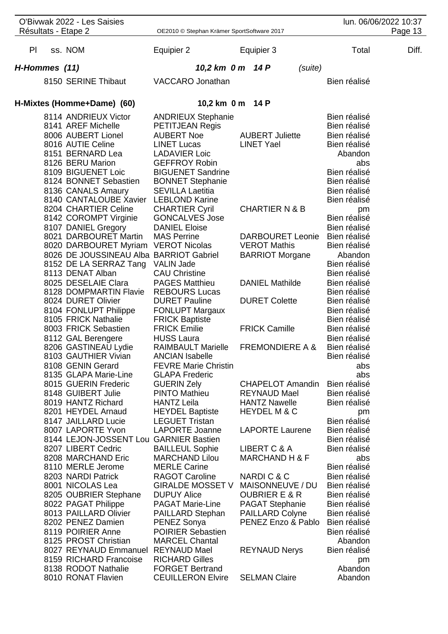| O'Bivwak 2022 - Les Saisies                                                                                                                                                                                                                                         |                                                                                                                                                                                                                                                           |                                                                                                                                                            | lun. 06/06/2022 10:37                                                                                                                                |         |
|---------------------------------------------------------------------------------------------------------------------------------------------------------------------------------------------------------------------------------------------------------------------|-----------------------------------------------------------------------------------------------------------------------------------------------------------------------------------------------------------------------------------------------------------|------------------------------------------------------------------------------------------------------------------------------------------------------------|------------------------------------------------------------------------------------------------------------------------------------------------------|---------|
| Résultats - Etape 2                                                                                                                                                                                                                                                 | OE2010 © Stephan Krämer SportSoftware 2017                                                                                                                                                                                                                |                                                                                                                                                            |                                                                                                                                                      | Page 13 |
| PI<br>ss. NOM                                                                                                                                                                                                                                                       | Equipier 2                                                                                                                                                                                                                                                | Equipier 3                                                                                                                                                 | Total                                                                                                                                                | Diff.   |
| H-Hommes (11)                                                                                                                                                                                                                                                       | 10,2 km 0 m 14 P                                                                                                                                                                                                                                          | (suite)                                                                                                                                                    |                                                                                                                                                      |         |
| 8150 SERINE Thibaut                                                                                                                                                                                                                                                 | <b>VACCARO Jonathan</b>                                                                                                                                                                                                                                   |                                                                                                                                                            | Bien réalisé                                                                                                                                         |         |
| H-Mixtes (Homme+Dame) (60)                                                                                                                                                                                                                                          | 10,2 km 0 m 14 P                                                                                                                                                                                                                                          |                                                                                                                                                            |                                                                                                                                                      |         |
| 8114 ANDRIEUX Victor<br>8141 AREF Michelle<br>8006 AUBERT Lionel<br>8016 AUTIE Celine<br>8151 BERNARD Lea<br>8126 BERU Marion<br>8109 BIGUENET Loic<br>8124 BONNET Sebastien<br>8136 CANALS Amaury<br>8140 CANTALOUBE Xavier LEBLOND Karine<br>8204 CHARTIER Celine | <b>ANDRIEUX Stephanie</b><br><b>PETITJEAN Regis</b><br><b>AUBERT Noe</b><br><b>LINET Lucas</b><br><b>LADAVIER Loic</b><br><b>GEFFROY Robin</b><br><b>BIGUENET Sandrine</b><br><b>BONNET Stephanie</b><br><b>SEVILLA Laetitia</b><br><b>CHARTIER Cyril</b> | <b>AUBERT Juliette</b><br><b>LINET Yael</b><br><b>CHARTIER N &amp; B</b>                                                                                   | Bien réalisé<br>Bien réalisé<br>Bien réalisé<br>Bien réalisé<br>Abandon<br>abs<br>Bien réalisé<br>Bien réalisé<br>Bien réalisé<br>Bien réalisé<br>pm |         |
| 8142 COROMPT Virginie<br>8107 DANIEL Gregory<br>8021 DARBOURET Martin<br>8020 DARBOURET Myriam VEROT Nicolas<br>8026 DE JOUSSINEAU Alba BARRIOT Gabriel<br>8152 DE LA SERRAZ Tang<br>8113 DENAT Alban<br>8025 DESELAIE Clara                                        | <b>GONCALVES Jose</b><br><b>DANIEL Eloise</b><br><b>MAS Perrine</b><br><b>VALIN Jade</b><br><b>CAU Christine</b><br><b>PAGES Matthieu</b>                                                                                                                 | <b>DARBOURET Leonie</b><br><b>VEROT Mathis</b><br><b>BARRIOT Morgane</b><br><b>DANIEL Mathilde</b>                                                         | Bien réalisé<br>Bien réalisé<br>Bien réalisé<br>Bien réalisé<br>Abandon<br>Bien réalisé<br>Bien réalisé<br>Bien réalisé                              |         |
| 8128 DOMPMARTIN Flavie<br>8024 DURET Olivier<br>8104 FONLUPT Philippe<br>8105 FRICK Nathalie                                                                                                                                                                        | <b>REBOURS Lucas</b><br><b>DURET Pauline</b><br><b>FONLUPT Margaux</b><br><b>FRICK Baptiste</b>                                                                                                                                                           | <b>DURET Colette</b>                                                                                                                                       | Bien réalisé<br>Bien réalisé<br>Bien réalisé<br>Bien réalisé                                                                                         |         |
| 8003 FRICK Sebastien<br>8112 GAL Berengere<br>8206 GASTINEAU Lydie<br>8103 GAUTHIER Vivian<br>8108 GENIN Gerard<br>8135 GLAPA Marie-Line                                                                                                                            | <b>FRICK Emilie</b><br><b>HUSS Laura</b><br><b>RAIMBAULT Marielle</b><br><b>ANCIAN Isabelle</b><br><b>FEVRE Marie Christin</b><br><b>GLAPA Frederic</b>                                                                                                   | <b>FRICK Camille</b><br><b>FREMONDIERE A &amp;</b>                                                                                                         | Bien réalisé<br>Bien réalisé<br>Bien réalisé<br>Bien réalisé<br>abs<br>abs                                                                           |         |
| 8015 GUERIN Frederic<br>8148 GUIBERT Julie<br>8019 HANTZ Richard<br>8201 HEYDEL Arnaud<br>8147 JAILLARD Lucie                                                                                                                                                       | <b>GUERIN Zely</b><br><b>PINTO Mathieu</b><br><b>HANTZ Leila</b><br><b>HEYDEL Baptiste</b><br><b>LEGUET Tristan</b>                                                                                                                                       | <b>CHAPELOT Amandin</b><br><b>REYNAUD Mael</b><br><b>HANTZ Nawelle</b><br><b>HEYDEL M &amp; C</b>                                                          | Bien réalisé<br>Bien réalisé<br>Bien réalisé<br>pm<br>Bien réalisé                                                                                   |         |
| 8007 LAPORTE Yvon<br>8144 LEJON-JOSSENT Lou GARNIER Bastien<br>8207 LIBERT Cedric<br>8208 MARCHAND Eric<br>8110 MERLE Jerome                                                                                                                                        | <b>LAPORTE Joanne</b><br><b>BAILLEUL Sophie</b><br><b>MARCHAND Lilou</b><br><b>MERLE Carine</b>                                                                                                                                                           | <b>LAPORTE Laurene</b><br>LIBERT C & A<br><b>MARCHAND H &amp; F</b>                                                                                        | Bien réalisé<br>Bien réalisé<br>Bien réalisé<br>abs<br>Bien réalisé                                                                                  |         |
| 8203 NARDI Patrick<br>8001 NICOLAS Lea<br>8205 OUBRIER Stephane<br>8022 PAGAT Philippe<br>8013 PAILLARD Olivier<br>8202 PENEZ Damien<br>8119 POIRIER Anne<br>8125 PROST Christian<br>8027 REYNAUD Emmanuel REYNAUD Mael                                             | <b>RAGOT Caroline</b><br><b>GIRALDE MOSSET V</b><br><b>DUPUY Alice</b><br><b>PAGAT Marie-Line</b><br><b>PAILLARD Stephan</b><br>PENEZ Sonya<br><b>POIRIER Sebastien</b><br><b>MARCEL Chantal</b>                                                          | NARDIC&C<br>MAISONNEUVE / DU<br><b>OUBRIER E &amp; R</b><br><b>PAGAT Stephanie</b><br><b>PAILLARD Colyne</b><br>PENEZ Enzo & Pablo<br><b>REYNAUD Nerys</b> | Bien réalisé<br>Bien réalisé<br>Bien réalisé<br>Bien réalisé<br>Bien réalisé<br>Bien réalisé<br>Bien réalisé<br>Abandon<br>Bien réalisé              |         |
| 8159 RICHARD Francoise<br>8138 RODOT Nathalie<br>8010 RONAT Flavien                                                                                                                                                                                                 | <b>RICHARD Gilles</b><br><b>FORGET Bertrand</b><br><b>CEUILLERON Elvire</b>                                                                                                                                                                               | <b>SELMAN Claire</b>                                                                                                                                       | pm<br>Abandon<br>Abandon                                                                                                                             |         |